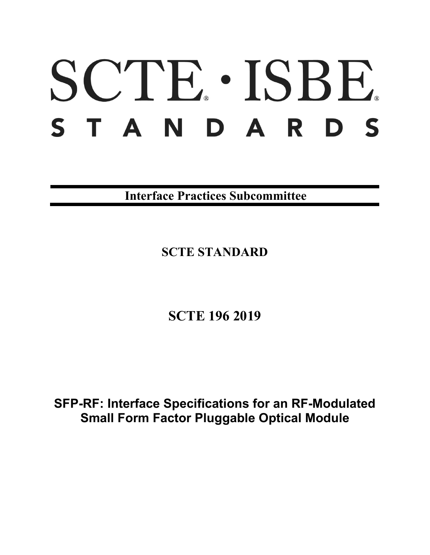# SCTE · ISBE. S T A N D A R D S

**Interface Practices Subcommittee**

**SCTE STANDARD**

**SCTE 196 2019**

**SFP-RF: Interface Specifications for an RF-Modulated Small Form Factor Pluggable Optical Module**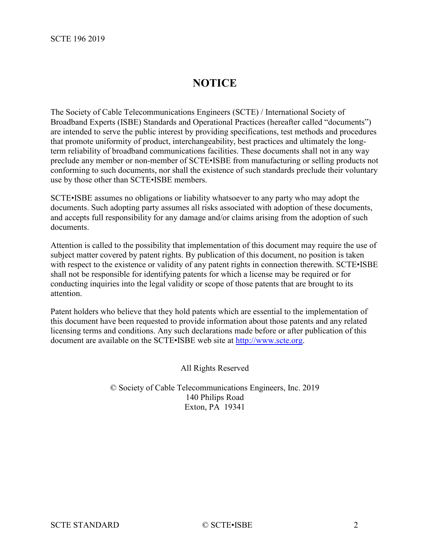# **NOTICE**

The Society of Cable Telecommunications Engineers (SCTE) / International Society of Broadband Experts (ISBE) Standards and Operational Practices (hereafter called "documents") are intended to serve the public interest by providing specifications, test methods and procedures that promote uniformity of product, interchangeability, best practices and ultimately the longterm reliability of broadband communications facilities. These documents shall not in any way preclude any member or non-member of SCTE•ISBE from manufacturing or selling products not conforming to such documents, nor shall the existence of such standards preclude their voluntary use by those other than SCTE•ISBE members.

SCTE•ISBE assumes no obligations or liability whatsoever to any party who may adopt the documents. Such adopting party assumes all risks associated with adoption of these documents, and accepts full responsibility for any damage and/or claims arising from the adoption of such documents.

Attention is called to the possibility that implementation of this document may require the use of subject matter covered by patent rights. By publication of this document, no position is taken with respect to the existence or validity of any patent rights in connection therewith. SCTE•ISBE shall not be responsible for identifying patents for which a license may be required or for conducting inquiries into the legal validity or scope of those patents that are brought to its attention.

Patent holders who believe that they hold patents which are essential to the implementation of this document have been requested to provide information about those patents and any related licensing terms and conditions. Any such declarations made before or after publication of this document are available on the SCTE•ISBE web site at [http://www.scte.org.](http://www.scte.org/)

All Rights Reserved

© Society of Cable Telecommunications Engineers, Inc. 2019 140 Philips Road Exton, PA 19341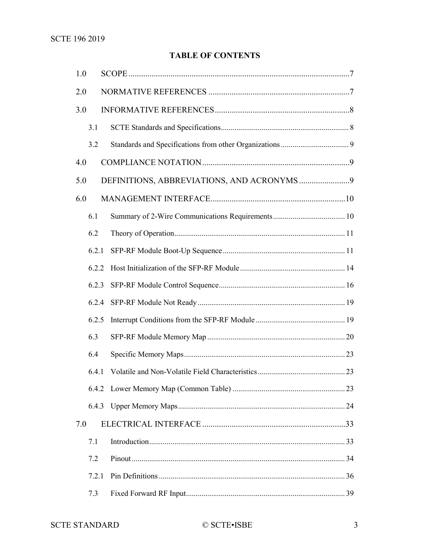# **TABLE OF CONTENTS**

| 1.0 |       |  |  |
|-----|-------|--|--|
| 2.0 |       |  |  |
| 3.0 |       |  |  |
|     | 3.1   |  |  |
|     | 3.2   |  |  |
| 4.0 |       |  |  |
| 5.0 |       |  |  |
| 6.0 |       |  |  |
|     | 6.1   |  |  |
|     | 6.2   |  |  |
|     | 6.2.1 |  |  |
|     | 6.2.2 |  |  |
|     | 6.2.3 |  |  |
|     | 6.2.4 |  |  |
|     | 6.2.5 |  |  |
|     | 6.3   |  |  |
|     | 6.4   |  |  |
|     | 6.4.1 |  |  |
|     |       |  |  |
|     | 6.4.3 |  |  |
| 7.0 |       |  |  |
|     | 7.1   |  |  |
|     | 7.2   |  |  |
|     | 7.2.1 |  |  |
|     | 7.3   |  |  |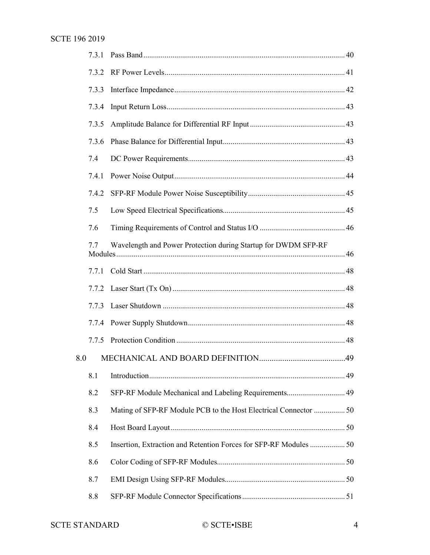|     | 7.3.2 |                                                                   |  |
|-----|-------|-------------------------------------------------------------------|--|
|     | 7.3.3 |                                                                   |  |
|     | 7.3.4 |                                                                   |  |
|     | 7.3.5 |                                                                   |  |
|     | 7.3.6 |                                                                   |  |
|     | 7.4   |                                                                   |  |
|     | 7.4.1 |                                                                   |  |
|     | 7.4.2 |                                                                   |  |
|     | 7.5   |                                                                   |  |
|     | 7.6   |                                                                   |  |
|     | 7.7   | Wavelength and Power Protection during Startup for DWDM SFP-RF    |  |
|     | 7.7.1 |                                                                   |  |
|     | 7.7.2 |                                                                   |  |
|     | 7.7.3 |                                                                   |  |
|     | 7.7.4 |                                                                   |  |
|     | 7.7.5 |                                                                   |  |
| 8.0 |       |                                                                   |  |
|     | 8.1   |                                                                   |  |
|     | 8.2   | SFP-RF Module Mechanical and Labeling Requirements 49             |  |
|     | 8.3   | Mating of SFP-RF Module PCB to the Host Electrical Connector  50  |  |
|     | 8.4   |                                                                   |  |
|     | 8.5   | Insertion, Extraction and Retention Forces for SFP-RF Modules  50 |  |
|     | 8.6   |                                                                   |  |
|     | 8.7   |                                                                   |  |
|     | 8.8   |                                                                   |  |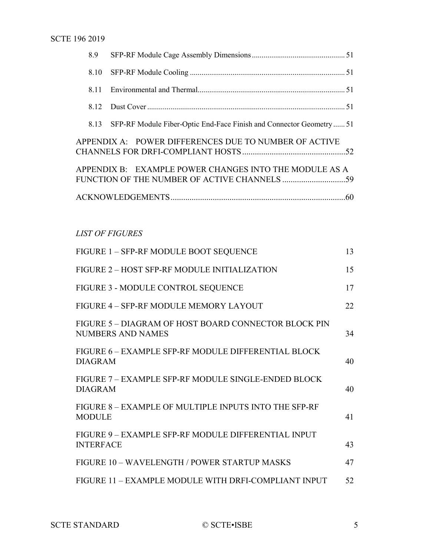|  | 8.13 SFP-RF Module Fiber-Optic End-Face Finish and Connector Geometry 51                               |  |
|--|--------------------------------------------------------------------------------------------------------|--|
|  | APPENDIX A: POWER DIFFERENCES DUE TO NUMBER OF ACTIVE                                                  |  |
|  | APPENDIX B: EXAMPLE POWER CHANGES INTO THE MODULE AS A<br>FUNCTION OF THE NUMBER OF ACTIVE CHANNELS 59 |  |
|  |                                                                                                        |  |

# *LIST OF FIGURES*

| FIGURE 1 - SFP-RF MODULE BOOT SEQUENCE                                  | 13 |
|-------------------------------------------------------------------------|----|
| FIGURE 2 - HOST SFP-RF MODULE INITIALIZATION                            | 15 |
| FIGURE 3 - MODULE CONTROL SEQUENCE                                      | 17 |
| FIGURE 4 - SFP-RF MODULE MEMORY LAYOUT                                  | 22 |
| FIGURE 5-DIAGRAM OF HOST BOARD CONNECTOR BLOCK PIN<br>NUMBERS AND NAMES | 34 |
| FIGURE 6 – EXAMPLE SFP-RF MODULE DIFFERENTIAL BLOCK<br><b>DIAGRAM</b>   | 40 |
| FIGURE 7 – EXAMPLE SFP-RF MODULE SINGLE-ENDED BLOCK<br><b>DIAGRAM</b>   | 40 |
| FIGURE 8 - EXAMPLE OF MULTIPLE INPUTS INTO THE SFP-RF<br><b>MODULE</b>  | 41 |
| FIGURE 9 - EXAMPLE SFP-RF MODULE DIFFERENTIAL INPUT<br><b>INTERFACE</b> | 43 |
| FIGURE 10 - WAVELENGTH / POWER STARTUP MASKS                            | 47 |
| FIGURE 11 - EXAMPLE MODULE WITH DRFI-COMPLIANT INPUT                    | 52 |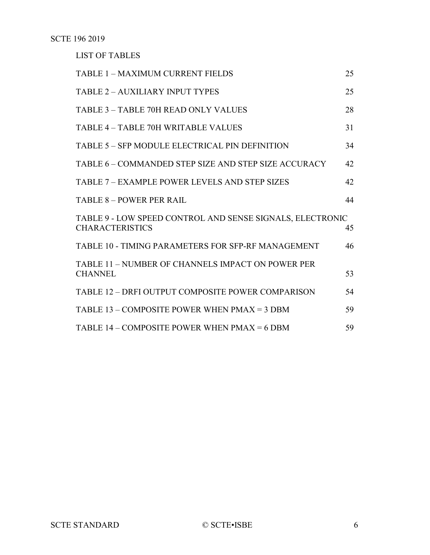LIST OF TABLES

| <b>TABLE 1 - MAXIMUM CURRENT FIELDS</b>                                             | 25 |
|-------------------------------------------------------------------------------------|----|
| <b>TABLE 2 - AUXILIARY INPUT TYPES</b>                                              | 25 |
| <b>TABLE 3 - TABLE 70H READ ONLY VALUES</b>                                         | 28 |
| TABLE 4 - TABLE 70H WRITABLE VALUES                                                 | 31 |
| <b>TABLE 5 – SFP MODULE ELECTRICAL PIN DEFINITION</b>                               | 34 |
| TABLE 6 – COMMANDED STEP SIZE AND STEP SIZE ACCURACY                                | 42 |
| TABLE 7 – EXAMPLE POWER LEVELS AND STEP SIZES                                       | 42 |
| <b>TABLE 8 - POWER PER RAIL</b>                                                     | 44 |
| TABLE 9 - LOW SPEED CONTROL AND SENSE SIGNALS, ELECTRONIC<br><b>CHARACTERISTICS</b> | 45 |
| TABLE 10 - TIMING PARAMETERS FOR SFP-RF MANAGEMENT                                  | 46 |
| TABLE 11 – NUMBER OF CHANNELS IMPACT ON POWER PER<br><b>CHANNEL</b>                 | 53 |
| TABLE 12 - DRFI OUTPUT COMPOSITE POWER COMPARISON                                   | 54 |
| TABLE $13 -$ COMPOSITE POWER WHEN PMAX = 3 DBM                                      | 59 |
| TABLE $14$ – COMPOSITE POWER WHEN PMAX = 6 DBM                                      | 59 |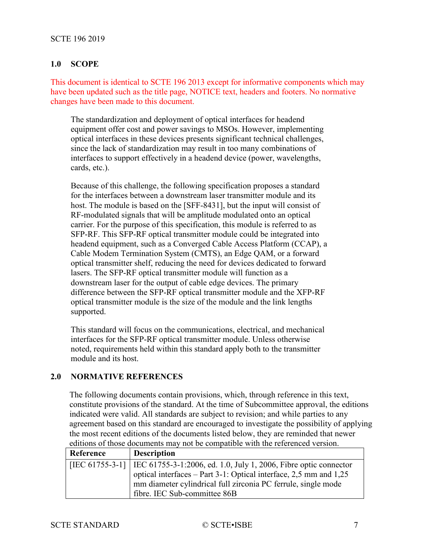# <span id="page-6-0"></span>**1.0 SCOPE**

This document is identical to SCTE 196 2013 except for informative components which may have been updated such as the title page, NOTICE text, headers and footers. No normative changes have been made to this document.

The standardization and deployment of optical interfaces for headend equipment offer cost and power savings to MSOs. However, implementing optical interfaces in these devices presents significant technical challenges, since the lack of standardization may result in too many combinations of interfaces to support effectively in a headend device (power, wavelengths, cards, etc.).

Because of this challenge, the following specification proposes a standard for the interfaces between a downstream laser transmitter module and its host. The module is based on the [\[SFF-8431\],](#page-7-3) but the input will consist of RF-modulated signals that will be amplitude modulated onto an optical carrier. For the purpose of this specification, this module is referred to as SFP-RF. This SFP-RF optical transmitter module could be integrated into headend equipment, such as a Converged Cable Access Platform (CCAP), a Cable Modem Termination System (CMTS), an Edge QAM, or a forward optical transmitter shelf, reducing the need for devices dedicated to forward lasers. The SFP-RF optical transmitter module will function as a downstream laser for the output of cable edge devices. The primary difference between the SFP-RF optical transmitter module and the XFP-RF optical transmitter module is the size of the module and the link lengths supported.

This standard will focus on the communications, electrical, and mechanical interfaces for the SFP-RF optical transmitter module. Unless otherwise noted, requirements held within this standard apply both to the transmitter module and its host.

# <span id="page-6-1"></span>**2.0 NORMATIVE REFERENCES**

The following documents contain provisions, which, through reference in this text, constitute provisions of the standard. At the time of Subcommittee approval, the editions indicated were valid. All standards are subject to revision; and while parties to any agreement based on this standard are encouraged to investigate the possibility of applying the most recent editions of the documents listed below, they are reminded that newer editions of those documents may not be compatible with the referenced version.

<span id="page-6-2"></span>

| Reference | <b>Description</b>                                                                 |
|-----------|------------------------------------------------------------------------------------|
|           | [IEC 61755-3-1]   IEC 61755-3-1:2006, ed. 1.0, July 1, 2006, Fibre optic connector |
|           | optical interfaces – Part 3-1: Optical interface, 2,5 mm and 1,25                  |
|           | mm diameter cylindrical full zirconia PC ferrule, single mode                      |
|           | fibre. IEC Sub-committee 86B                                                       |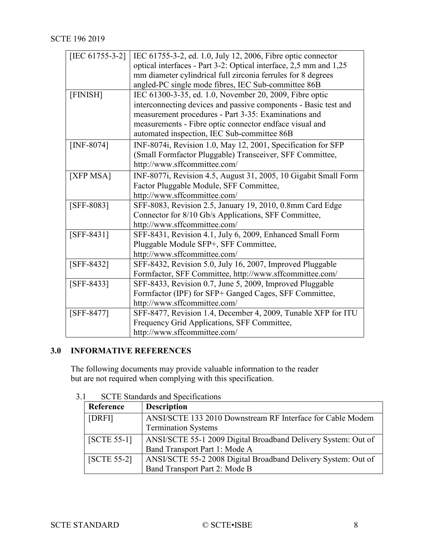<span id="page-7-14"></span><span id="page-7-13"></span><span id="page-7-10"></span><span id="page-7-4"></span><span id="page-7-2"></span>

| [IEC 61755-3-2] | IEC 61755-3-2, ed. 1.0, July 12, 2006, Fibre optic connector      |
|-----------------|-------------------------------------------------------------------|
|                 | optical interfaces - Part 3-2: Optical interface, 2,5 mm and 1,25 |
|                 | mm diameter cylindrical full zirconia ferrules for 8 degrees      |
|                 | angled-PC single mode fibres, IEC Sub-committee 86B               |
| [FINISH]        | IEC 61300-3-35, ed. 1.0, November 20, 2009, Fibre optic           |
|                 | interconnecting devices and passive components - Basic test and   |
|                 | measurement procedures - Part 3-35: Examinations and              |
|                 | measurements - Fibre optic connector endface visual and           |
|                 | automated inspection, IEC Sub-committee 86B                       |
| [INF-8074]      | INF-8074i, Revision 1.0, May 12, 2001, Specification for SFP      |
|                 | (Small Formfactor Pluggable) Transceiver, SFF Committee,          |
|                 | http://www.sffcommittee.com/                                      |
| [XFP MSA]       | INF-8077i, Revision 4.5, August 31, 2005, 10 Gigabit Small Form   |
|                 | Factor Pluggable Module, SFF Committee,                           |
|                 | http://www.sffcommittee.com/                                      |
| [SFF-8083]      | SFF-8083, Revision 2.5, January 19, 2010, 0.8mm Card Edge         |
|                 | Connector for 8/10 Gb/s Applications, SFF Committee,              |
|                 | http://www.sffcommittee.com/                                      |
| $[SFF-8431]$    | SFF-8431, Revision 4.1, July 6, 2009, Enhanced Small Form         |
|                 | Pluggable Module SFP+, SFF Committee,                             |
|                 | http://www.sffcommittee.com/                                      |
| $[SFF-8432]$    | SFF-8432, Revision 5.0, July 16, 2007, Improved Pluggable         |
|                 | Formfactor, SFF Committee, http://www.sffcommittee.com/           |
| $[SFF-8433]$    | SFF-8433, Revision 0.7, June 5, 2009, Improved Pluggable          |
|                 | Formfactor (IPF) for SFP+ Ganged Cages, SFF Committee,            |
|                 | http://www.sffcommittee.com/                                      |
| [SFF-8477]      | SFF-8477, Revision 1.4, December 4, 2009, Tunable XFP for ITU     |
|                 | Frequency Grid Applications, SFF Committee,                       |
|                 | http://www.sffcommittee.com/                                      |

# <span id="page-7-12"></span><span id="page-7-11"></span><span id="page-7-9"></span><span id="page-7-5"></span><span id="page-7-3"></span><span id="page-7-0"></span>**3.0 INFORMATIVE REFERENCES**

The following documents may provide valuable information to the reader but are not required when complying with this specification.

<span id="page-7-1"></span>

| 3.1 |  |  | <b>SCTE</b> Standards and Specifications |
|-----|--|--|------------------------------------------|
|-----|--|--|------------------------------------------|

<span id="page-7-8"></span><span id="page-7-7"></span><span id="page-7-6"></span>

| Reference     | <b>Description</b>                                            |
|---------------|---------------------------------------------------------------|
| [DRFI]        | ANSI/SCTE 133 2010 Downstream RF Interface for Cable Modem    |
|               | <b>Termination Systems</b>                                    |
| $[SCTE 55-1]$ | ANSI/SCTE 55-1 2009 Digital Broadband Delivery System: Out of |
|               | Band Transport Part 1: Mode A                                 |
| $[SCTE 55-2]$ | ANSI/SCTE 55-2 2008 Digital Broadband Delivery System: Out of |
|               | Band Transport Part 2: Mode B                                 |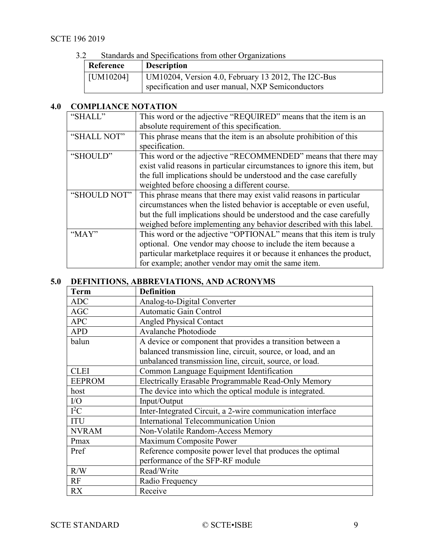3.2 Standards and Specifications from other Organizations

<span id="page-8-2"></span>

| --- | Reference | $\sim$ with $\sim$ with $\sim$ $\sim$ . Then the set of $\sim$ in $\sim$ is $\sim$ . The set of $\sim$<br><b>Description</b> |
|-----|-----------|------------------------------------------------------------------------------------------------------------------------------|
|     | [UM10204] | UM10204, Version 4.0, February 13 2012, The I2C-Bus<br>specification and user manual, NXP Semiconductors                     |

# <span id="page-8-0"></span>**4.0 COMPLIANCE NOTATION**

| "SHALL"      | This word or the adjective "REQUIRED" means that the item is an          |
|--------------|--------------------------------------------------------------------------|
|              | absolute requirement of this specification.                              |
| "SHALL NOT"  | This phrase means that the item is an absolute prohibition of this       |
|              | specification.                                                           |
| "SHOULD"     | This word or the adjective "RECOMMENDED" means that there may            |
|              | exist valid reasons in particular circumstances to ignore this item, but |
|              | the full implications should be understood and the case carefully        |
|              | weighted before choosing a different course.                             |
| "SHOULD NOT" | This phrase means that there may exist valid reasons in particular       |
|              | circumstances when the listed behavior is acceptable or even useful,     |
|              | but the full implications should be understood and the case carefully    |
|              | weighed before implementing any behavior described with this label.      |
| "MAY"        | This word or the adjective "OPTIONAL" means that this item is truly      |
|              | optional. One vendor may choose to include the item because a            |
|              | particular marketplace requires it or because it enhances the product,   |
|              | for example; another vendor may omit the same item.                      |

# <span id="page-8-1"></span>**5.0 DEFINITIONS, ABBREVIATIONS, AND ACRONYMS**

| <b>Term</b>   | <b>Definition</b>                                            |
|---------------|--------------------------------------------------------------|
| <b>ADC</b>    | Analog-to-Digital Converter                                  |
| <b>AGC</b>    | <b>Automatic Gain Control</b>                                |
| <b>APC</b>    | <b>Angled Physical Contact</b>                               |
| <b>APD</b>    | Avalanche Photodiode                                         |
| balun         | A device or component that provides a transition between a   |
|               | balanced transmission line, circuit, source, or load, and an |
|               | unbalanced transmission line, circuit, source, or load.      |
| <b>CLEI</b>   | Common Language Equipment Identification                     |
| <b>EEPROM</b> | Electrically Erasable Programmable Read-Only Memory          |
| host          | The device into which the optical module is integrated.      |
| $\rm I/O$     | Input/Output                                                 |
| $I^2C$        | Inter-Integrated Circuit, a 2-wire communication interface   |
| <b>ITU</b>    | International Telecommunication Union                        |
| <b>NVRAM</b>  | Non-Volatile Random-Access Memory                            |
| Pmax          | Maximum Composite Power                                      |
| Pref          | Reference composite power level that produces the optimal    |
|               | performance of the SFP-RF module                             |
| R/W           | Read/Write                                                   |
| RF            | Radio Frequency                                              |
| <b>RX</b>     | Receive                                                      |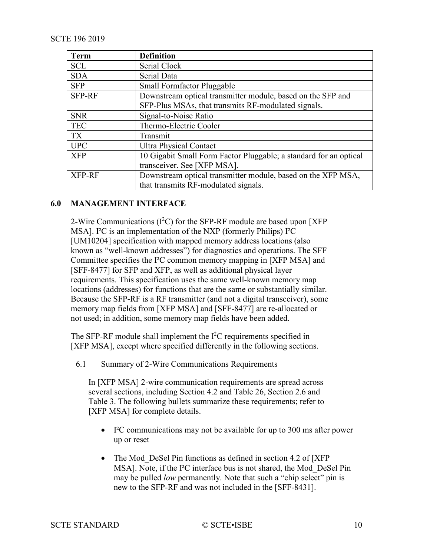| <b>Term</b>   | <b>Definition</b>                                                 |
|---------------|-------------------------------------------------------------------|
| <b>SCL</b>    | Serial Clock                                                      |
| <b>SDA</b>    | Serial Data                                                       |
| <b>SFP</b>    | <b>Small Formfactor Pluggable</b>                                 |
| <b>SFP-RF</b> | Downstream optical transmitter module, based on the SFP and       |
|               | SFP-Plus MSAs, that transmits RF-modulated signals.               |
| <b>SNR</b>    | Signal-to-Noise Ratio                                             |
| <b>TEC</b>    | Thermo-Electric Cooler                                            |
| <b>TX</b>     | Transmit                                                          |
| <b>UPC</b>    | <b>Ultra Physical Contact</b>                                     |
| <b>XFP</b>    | 10 Gigabit Small Form Factor Pluggable; a standard for an optical |
|               | transceiver. See [XFP MSA].                                       |
| <b>XFP-RF</b> | Downstream optical transmitter module, based on the XFP MSA,      |
|               | that transmits RF-modulated signals.                              |

# <span id="page-9-0"></span>**6.0 MANAGEMENT INTERFACE**

2-Wire Communications  $(I<sup>2</sup>C)$  for the SFP-RF module are based upon [XFP [MSA\].](#page-7-4) I²C is an implementation of the NXP (formerly Philips) I²C [\[UM10204\]](#page-8-2) specification with mapped memory address locations (also known as "well-known addresses") for diagnostics and operations. The SFF Committee specifies the I²C common memory mapping in [\[XFP MSA\]](#page-7-4) and [\[SFF-8477\]](#page-7-5) for SFP and XFP, as well as additional physical layer requirements. This specification uses the same well-known memory map locations (addresses) for functions that are the same or substantially similar. Because the SFP-RF is a RF transmitter (and not a digital transceiver), some memory map fields from [\[XFP MSA\]](#page-7-4) and [\[SFF-8477\]](#page-7-5) are re-allocated or not used; in addition, some memory map fields have been added.

The SFP-RF module shall implement the  $I<sup>2</sup>C$  requirements specified in [\[XFP MSA\],](#page-7-4) except where specified differently in the following sections.

<span id="page-9-1"></span>6.1 Summary of 2-Wire Communications Requirements

In [\[XFP MSA\]](#page-7-4) 2-wire communication requirements are spread across several sections, including Section 4.2 and Table 26, Section 2.6 and Table 3. The following bullets summarize these requirements; refer to [\[XFP MSA\]](#page-7-4) for complete details.

- I²C communications may not be available for up to 300 ms after power up or reset
- The Mod DeSel Pin functions as defined in section 4.2 of [XFP] [MSA\].](#page-7-4) Note, if the I²C interface bus is not shared, the Mod\_DeSel Pin may be pulled *low* permanently. Note that such a "chip select" pin is new to the SFP-RF and was not included in the [\[SFF-8431\].](#page-7-3)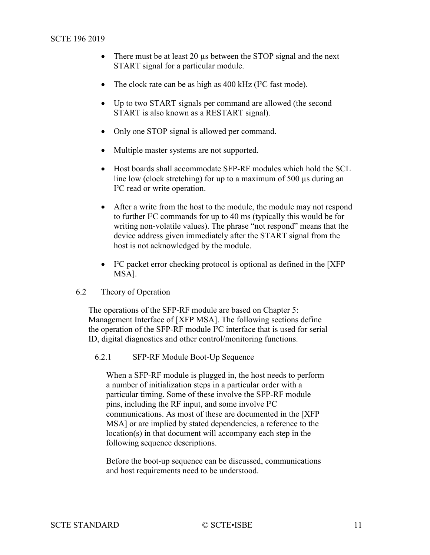- There must be at least 20 µs between the STOP signal and the next START signal for a particular module.
- The clock rate can be as high as 400 kHz (I<sup>2</sup>C fast mode).
- Up to two START signals per command are allowed (the second START is also known as a RESTART signal).
- Only one STOP signal is allowed per command.
- Multiple master systems are not supported.
- Host boards shall accommodate SFP-RF modules which hold the SCL line low (clock stretching) for up to a maximum of 500 µs during an I²C read or write operation.
- After a write from the host to the module, the module may not respond to further I²C commands for up to 40 ms (typically this would be for writing non-volatile values). The phrase "not respond" means that the device address given immediately after the START signal from the host is not acknowledged by the module.
- I<sup>2</sup>C packet error checking protocol is optional as defined in the [XFP] [MSA\].](#page-7-4)
- <span id="page-10-0"></span>6.2 Theory of Operation

The operations of the SFP-RF module are based on Chapter 5: Management Interface of [\[XFP MSA\].](#page-7-4) The following sections define the operation of the SFP-RF module I²C interface that is used for serial ID, digital diagnostics and other control/monitoring functions.

<span id="page-10-1"></span>6.2.1 SFP-RF Module Boot-Up Sequence

When a SFP-RF module is plugged in, the host needs to perform a number of initialization steps in a particular order with a particular timing. Some of these involve the SFP-RF module pins, including the RF input, and some involve I²C communications. As most of these are documented in the [\[XFP](#page-7-4)  [MSA\]](#page-7-4) or are implied by stated dependencies, a reference to the location(s) in that document will accompany each step in the following sequence descriptions.

Before the boot-up sequence can be discussed, communications and host requirements need to be understood.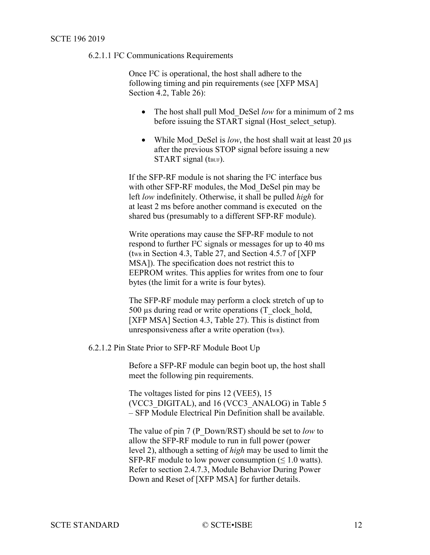## 6.2.1.1 I²C Communications Requirements

Once I²C is operational, the host shall adhere to the following timing and pin requirements (see [\[XFP MSA\]](#page-7-4) Section 4.2, Table 26):

- The host shall pull Mod\_DeSel *low* for a minimum of 2 ms before issuing the START signal (Host select setup).
- While Mod DeSel is *low*, the host shall wait at least 20 µs after the previous STOP signal before issuing a new  $STAT$  signal (t<sub>BUF</sub>).

If the SFP-RF module is not sharing the I²C interface bus with other SFP-RF modules, the Mod\_DeSel pin may be left *low* indefinitely. Otherwise, it shall be pulled *high* for at least 2 ms before another command is executed on the shared bus (presumably to a different SFP-RF module).

Write operations may cause the SFP-RF module to not respond to further I²C signals or messages for up to 40 ms (twk in Section 4.3, Table 27, and Section 4.5.7 of [XFP] [MSA\]\)](#page-7-4). The specification does not restrict this to EEPROM writes. This applies for writes from one to four bytes (the limit for a write is four bytes).

The SFP-RF module may perform a clock stretch of up to 500 µs during read or write operations (T\_clock\_hold, [\[XFP MSA\]](#page-7-4) Section 4.3, Table 27). This is distinct from unresponsiveness after a write operation  $(t_{WR})$ .

#### 6.2.1.2 Pin State Prior to SFP-RF Module Boot Up

Before a SFP-RF module can begin boot up, the host shall meet the following pin requirements.

The voltages listed for pins 12 (VEE5), 15 (VCC3\_DIGITAL), and 16 (VCC3\_ANALOG) in [Table](#page-33-2) 5 – [SFP Module Electrical Pin Definition](#page-33-2) shall be available.

The value of pin 7 (P\_Down/RST) should be set to *low* to allow the SFP-RF module to run in full power (power level 2), although a setting of *high* may be used to limit the SFP-RF module to low power consumption ( $\leq 1.0$  watts). Refer to section 2.4.7.3, Module Behavior During Power Down and Reset of [\[XFP MSA\]](#page-7-4) for further details.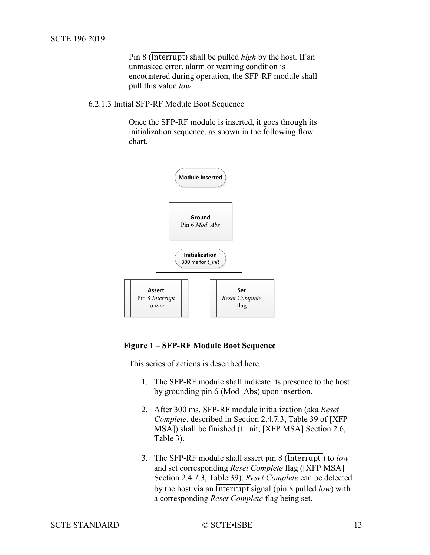Pin 8 (Interrupt) shall be pulled *high* by the host. If an unmasked error, alarm or warning condition is encountered during operation, the SFP-RF module shall pull this value *low*.

6.2.1.3 Initial SFP-RF Module Boot Sequence

Once the SFP-RF module is inserted, it goes through its initialization sequence, as shown in the following flow chart.



#### <span id="page-12-0"></span>**Figure 1 – SFP-RF Module Boot Sequence**

This series of actions is described here.

- 1. The SFP-RF module shall indicate its presence to the host by grounding pin 6 (Mod\_Abs) upon insertion.
- 2. After 300 ms, SFP-RF module initialization (aka *Reset Complete*, described in Section 2.4.7.3, Table 39 of [\[XFP](#page-7-4)  [MSA\]\)](#page-7-4) shall be finished (t\_init, [\[XFP MSA\]](#page-7-4) Section 2.6, Table 3).
- 3. The SFP-RF module shall assert pin 8 (Interrupt ) to *low* and set corresponding *Reset Complete* flag [\(\[XFP MSA\]](#page-7-4) Section 2.4.7.3, Table 39). *Reset Complete* can be detected by the host via an Interrupt signal (pin 8 pulled *low*) with a corresponding *Reset Complete* flag being set.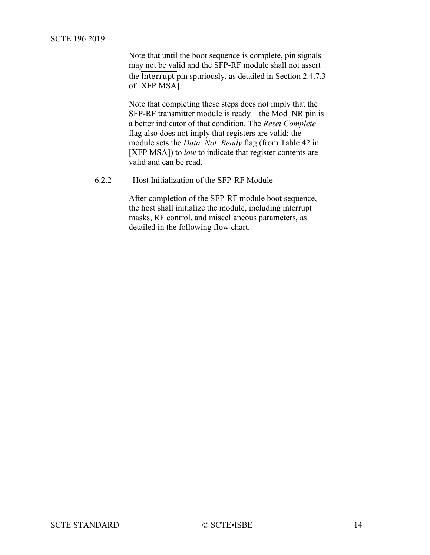Note that until the boot sequence is complete, pin signals may not be valid and the SFP-RF module shall not assert the Interrupt pin spuriously, as detailed in Section 2.4.7.3 of [\[XFP MSA\].](#page-7-4)

Note that completing these steps does not imply that the SFP-RF transmitter module is ready—the Mod\_NR pin is a better indicator of that condition. The *Reset Complete* flag also does not imply that registers are valid; the module sets the *Data\_Not\_Ready* flag (from Table 42 in [\[XFP MSA\]\)](#page-7-4) to *low* to indicate that register contents are valid and can be read.

<span id="page-13-0"></span>6.2.2 Host Initialization of the SFP-RF Module

After completion of the SFP-RF module boot sequence, the host shall initialize the module, including interrupt masks, RF control, and miscellaneous parameters, as detailed in the following flow chart.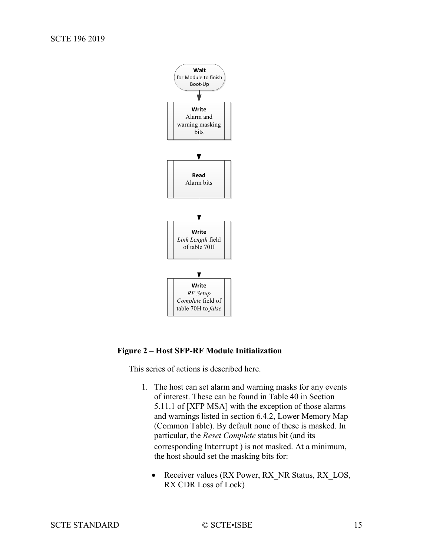

# <span id="page-14-0"></span>**Figure 2 – Host SFP-RF Module Initialization**

This series of actions is described here.

- 1. The host can set alarm and warning masks for any events of interest. These can be found in Table 40 in Section 5.11.1 of [\[XFP MSA\]](#page-7-4) with the exception of those alarms and warnings listed in section [6.4.2, Lower Memory](#page-22-1) Map [\(Common Table\).](#page-22-1) By default none of these is masked. In particular, the *Reset Complete* status bit (and its corresponding Interrupt ) is not masked. At a minimum, the host should set the masking bits for:
	- Receiver values (RX Power, RX\_NR Status, RX LOS, RX CDR Loss of Lock)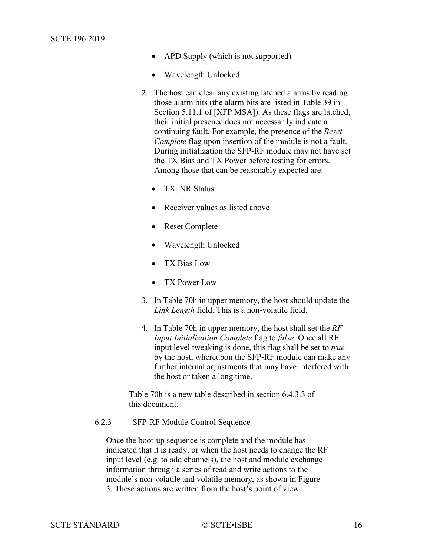- APD Supply (which is not supported)
- Wavelength Unlocked
- 2. The host can clear any existing latched alarms by reading those alarm bits (the alarm bits are listed in Table 39 in Section 5.11.1 of [\[XFP MSA\]\)](#page-7-4). As these flags are latched, their initial presence does not necessarily indicate a continuing fault. For example, the presence of the *Reset Complete* flag upon insertion of the module is not a fault. During initialization the SFP-RF module may not have set the TX Bias and TX Power before testing for errors. Among those that can be reasonably expected are:
	- TX NR Status
	- Receiver values as listed above
	- Reset Complete
	- Wavelength Unlocked
	- TX Bias Low
	- TX Power Low
- 3. In Table 70h in upper memory, the host should update the *Link Length* field. This is a non-volatile field.
- 4. In Table 70h in upper memory, the host shall set the *RF Input Initialization Complete* flag to *false*. Once all RF input level tweaking is done, this flag shall be set to *true* by the host, whereupon the SFP-RF module can make any further internal adjustments that may have interfered with the host or taken a long time.

Table 70h is a new table described in section [6.4.3.3](#page-25-0) of this document.

#### <span id="page-15-0"></span>6.2.3 SFP-RF Module Control Sequence

Once the boot-up sequence is complete and the module has indicated that it is ready, or when the host needs to change the RF input level (e.g. to add channels), the host and module exchange information through a series of read and write actions to the module's non-volatile and volatile memory, as shown in [Figure](#page-16-0)  [3.](#page-16-0) These actions are written from the host's point of view.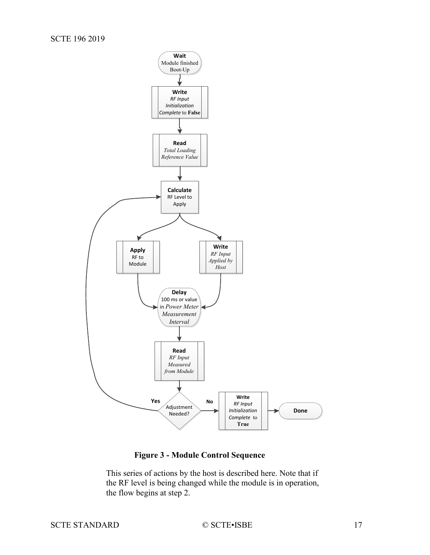

# **Figure 3 - Module Control Sequence**

<span id="page-16-0"></span>This series of actions by the host is described here. Note that if the RF level is being changed while the module is in operation, the flow begins at step 2.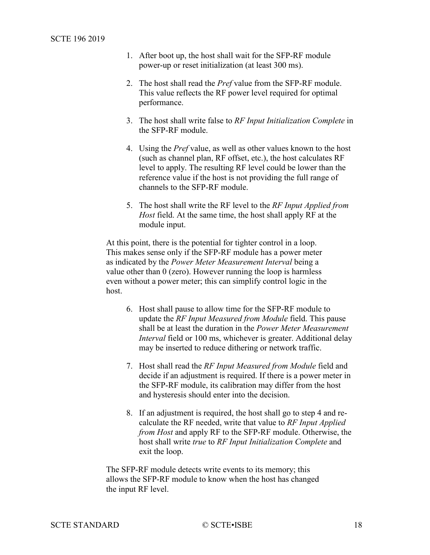- 1. After boot up, the host shall wait for the SFP-RF module power-up or reset initialization (at least 300 ms).
- 2. The host shall read the *Pref* value from the SFP-RF module. This value reflects the RF power level required for optimal performance.
- 3. The host shall write false to *RF Input Initialization Complete* in the SFP-RF module.
- 4. Using the *Pref* value, as well as other values known to the host (such as channel plan, RF offset, etc.), the host calculates RF level to apply. The resulting RF level could be lower than the reference value if the host is not providing the full range of channels to the SFP-RF module.
- 5. The host shall write the RF level to the *RF Input Applied from Host* field. At the same time, the host shall apply RF at the module input.

At this point, there is the potential for tighter control in a loop. This makes sense only if the SFP-RF module has a power meter as indicated by the *Power Meter Measurement Interval* being a value other than 0 (zero). However running the loop is harmless even without a power meter; this can simplify control logic in the host.

- 6. Host shall pause to allow time for the SFP-RF module to update the *RF Input Measured from Module* field. This pause shall be at least the duration in the *Power Meter Measurement Interval* field or 100 ms, whichever is greater. Additional delay may be inserted to reduce dithering or network traffic.
- 7. Host shall read the *RF Input Measured from Module* field and decide if an adjustment is required. If there is a power meter in the SFP-RF module, its calibration may differ from the host and hysteresis should enter into the decision.
- 8. If an adjustment is required, the host shall go to step 4 and recalculate the RF needed, write that value to *RF Input Applied from Host* and apply RF to the SFP-RF module. Otherwise, the host shall write *true* to *RF Input Initialization Complete* and exit the loop.

The SFP-RF module detects write events to its memory; this allows the SFP-RF module to know when the host has changed the input RF level.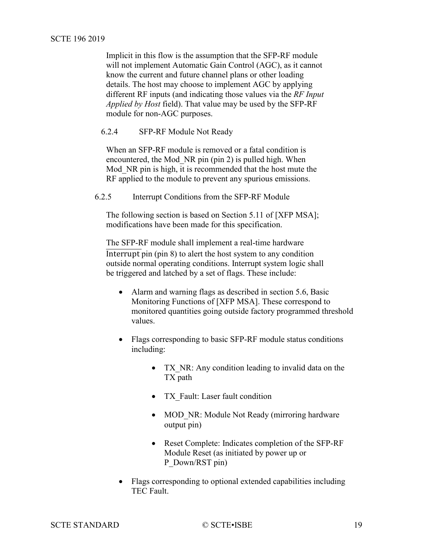Implicit in this flow is the assumption that the SFP-RF module will not implement Automatic Gain Control (AGC), as it cannot know the current and future channel plans or other loading details. The host may choose to implement AGC by applying different RF inputs (and indicating those values via the *RF Input Applied by Host* field). That value may be used by the SFP-RF module for non-AGC purposes.

#### <span id="page-18-0"></span>6.2.4 SFP-RF Module Not Ready

When an SFP-RF module is removed or a fatal condition is encountered, the Mod\_NR pin (pin 2) is pulled high. When Mod NR pin is high, it is recommended that the host mute the RF applied to the module to prevent any spurious emissions.

<span id="page-18-1"></span>6.2.5 Interrupt Conditions from the SFP-RF Module

The following section is based on Section 5.11 of [\[XFP MSA\];](#page-7-4) modifications have been made for this specification.

The SFP-RF module shall implement a real-time hardware Interrupt pin (pin 8) to alert the host system to any condition outside normal operating conditions. Interrupt system logic shall be triggered and latched by a set of flags. These include:

- Alarm and warning flags as described in section 5.6, Basic Monitoring Functions of [\[XFP MSA\].](#page-7-4) These correspond to monitored quantities going outside factory programmed threshold values.
- Flags corresponding to basic SFP-RF module status conditions including:
	- TX NR: Any condition leading to invalid data on the TX path
	- TX Fault: Laser fault condition
	- MOD NR: Module Not Ready (mirroring hardware output pin)
	- Reset Complete: Indicates completion of the SFP-RF Module Reset (as initiated by power up or P\_Down/RST pin)
- Flags corresponding to optional extended capabilities including TEC Fault.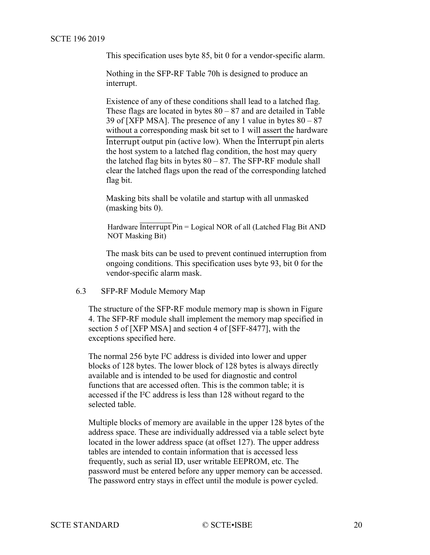This specification uses byte 85, bit 0 for a vendor-specific alarm.

Nothing in the SFP-RF Table 70h is designed to produce an interrupt.

Existence of any of these conditions shall lead to a latched flag. These flags are located in bytes  $80 - 87$  and are detailed in Table 39 of [\[XFP MSA\].](#page-7-4) The presence of any 1 value in bytes  $80 - 87$ without a corresponding mask bit set to 1 will assert the hardware Interrupt output pin (active low). When the Interrupt pin alerts the host system to a latched flag condition, the host may query the latched flag bits in bytes  $80 - 87$ . The SFP-RF module shall clear the latched flags upon the read of the corresponding latched flag bit.

Masking bits shall be volatile and startup with all unmasked (masking bits 0).

Hardware Interrupt Pin = Logical NOR of all (Latched Flag Bit AND NOT Masking Bit)

The mask bits can be used to prevent continued interruption from ongoing conditions. This specification uses byte 93, bit 0 for the vendor-specific alarm mask.

<span id="page-19-0"></span>6.3 SFP-RF Module Memory Map

The structure of the SFP-RF module memory map is shown in [Figure](#page-21-1)  [4.](#page-21-1) The SFP-RF module shall implement the memory map specified in section 5 of [\[XFP MSA\]](#page-7-4) and section 4 of [\[SFF-8477\],](#page-7-5) with the exceptions specified here.

The normal 256 byte I²C address is divided into lower and upper blocks of 128 bytes. The lower block of 128 bytes is always directly available and is intended to be used for diagnostic and control functions that are accessed often. This is the common table; it is accessed if the I²C address is less than 128 without regard to the selected table.

Multiple blocks of memory are available in the upper 128 bytes of the address space. These are individually addressed via a table select byte located in the lower address space (at offset 127). The upper address tables are intended to contain information that is accessed less frequently, such as serial ID, user writable EEPROM, etc. The password must be entered before any upper memory can be accessed. The password entry stays in effect until the module is power cycled.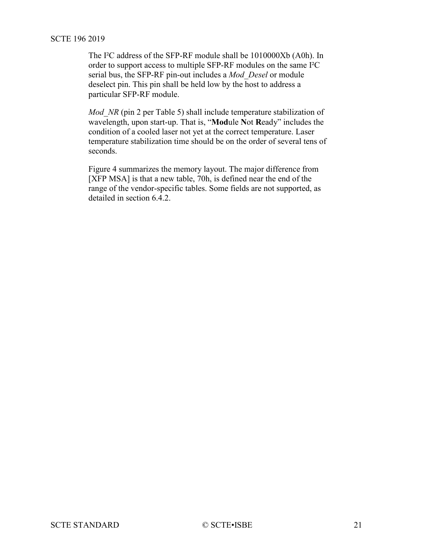The I²C address of the SFP-RF module shall be 1010000Xb (A0h). In order to support access to multiple SFP-RF modules on the same I²C serial bus, the SFP-RF pin-out includes a *Mod\_Desel* or module deselect pin. This pin shall be held low by the host to address a particular SFP-RF module.

*Mod NR* (pin 2 per [Table](#page-33-2) 5) shall include temperature stabilization of wavelength, upon start-up. That is, "**Mod**ule **N**ot **R**eady" includes the condition of a cooled laser not yet at the correct temperature. Laser temperature stabilization time should be on the order of several tens of seconds.

[Figure 4](#page-21-1) summarizes the memory layout. The major difference from [\[XFP MSA\]](#page-7-4) is that a new table, 70h, is defined near the end of the range of the vendor-specific tables. Some fields are not supported, as detailed in section [6.4.2.](#page-22-1)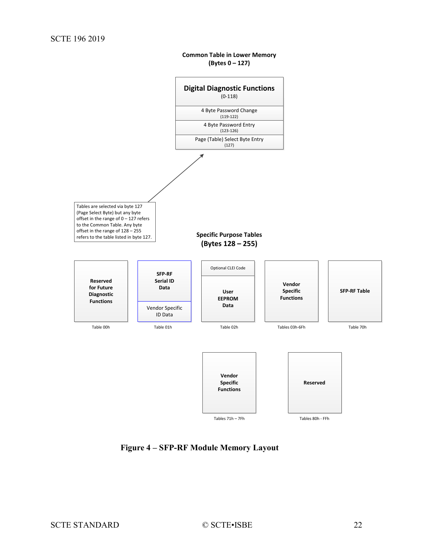**Common Table in Lower Memory (Bytes 0 – 127)**

<span id="page-21-0"></span>

<span id="page-21-1"></span>**Figure 4 – SFP-RF Module Memory Layout**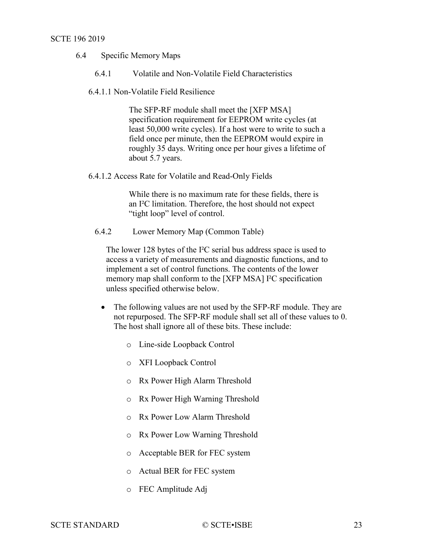- <span id="page-22-0"></span>6.4 Specific Memory Maps
	- 6.4.1 Volatile and Non-Volatile Field Characteristics
	- 6.4.1.1 Non-Volatile Field Resilience

The SFP-RF module shall meet the [\[XFP MSA\]](#page-7-4) specification requirement for EEPROM write cycles (at least 50,000 write cycles). If a host were to write to such a field once per minute, then the EEPROM would expire in roughly 35 days. Writing once per hour gives a lifetime of about 5.7 years.

6.4.1.2 Access Rate for Volatile and Read-Only Fields

While there is no maximum rate for these fields, there is an I²C limitation. Therefore, the host should not expect "tight loop" level of control.

<span id="page-22-1"></span>6.4.2 Lower Memory Map (Common Table)

The lower 128 bytes of the I²C serial bus address space is used to access a variety of measurements and diagnostic functions, and to implement a set of control functions. The contents of the lower memory map shall conform to the [\[XFP MSA\]](#page-7-4) I²C specification unless specified otherwise below.

- The following values are not used by the SFP-RF module. They are not repurposed. The SFP-RF module shall set all of these values to 0. The host shall ignore all of these bits. These include:
	- o Line-side Loopback Control
	- o XFI Loopback Control
	- o Rx Power High Alarm Threshold
	- o Rx Power High Warning Threshold
	- o Rx Power Low Alarm Threshold
	- o Rx Power Low Warning Threshold
	- o Acceptable BER for FEC system
	- o Actual BER for FEC system
	- o FEC Amplitude Adj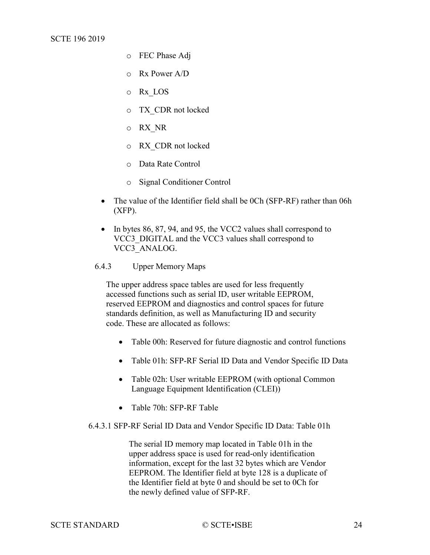- o FEC Phase Adj
- o Rx Power A/D
- o Rx\_LOS
- o TX\_CDR not locked
- o RX\_NR
- o RX\_CDR not locked
- o Data Rate Control
- o Signal Conditioner Control
- The value of the Identifier field shall be 0Ch (SFP-RF) rather than 06h (XFP).
- In bytes 86, 87, 94, and 95, the VCC2 values shall correspond to VCC3\_DIGITAL and the VCC3 values shall correspond to VCC3\_ANALOG.
- <span id="page-23-0"></span>6.4.3 Upper Memory Maps

The upper address space tables are used for less frequently accessed functions such as serial ID, user writable EEPROM, reserved EEPROM and diagnostics and control spaces for future standards definition, as well as Manufacturing ID and security code. These are allocated as follows:

- Table 00h: Reserved for future diagnostic and control functions
- Table 01h: SFP-RF Serial ID Data and Vendor Specific ID Data
- Table 02h: User writable EEPROM (with optional Common Language Equipment Identification (CLEI))
- Table 70h: SFP-RF Table

6.4.3.1 SFP-RF Serial ID Data and Vendor Specific ID Data: Table 01h

The serial ID memory map located in Table 01h in the upper address space is used for read-only identification information, except for the last 32 bytes which are Vendor EEPROM. The Identifier field at byte 128 is a duplicate of the Identifier field at byte 0 and should be set to 0Ch for the newly defined value of SFP-RF.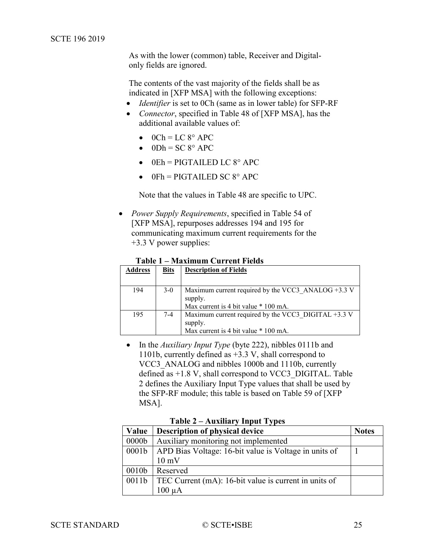As with the lower (common) table, Receiver and Digitalonly fields are ignored.

The contents of the vast majority of the fields shall be as indicated in [\[XFP MSA\]](#page-7-4) with the following exceptions:

- *Identifier* is set to 0Ch (same as in lower table) for SFP-RF
- *Connector*, specified in Table 48 of [\[XFP MSA\],](#page-7-4) has the additional available values of:
	- $\bullet$  0Ch = LC 8° APC
	- $\bullet$  0Dh = SC 8° APC
	- $\bullet$  0Eh = PIGTAILED LC 8° APC
	- $0Fh = PIGTAILED SC 8° APC$

Note that the values in Table 48 are specific to UPC.

• *Power Supply Requirements*, specified in Table 54 of [\[XFP MSA\],](#page-7-4) repurposes addresses 194 and 195 for communicating maximum current requirements for the +3.3 V power supplies:

|  |  | Table 1 – Maximum Current Fields |
|--|--|----------------------------------|
|--|--|----------------------------------|

<span id="page-24-0"></span>

| <b>Address</b> | <b>Bits</b> | <b>Description of Fields</b>                          |
|----------------|-------------|-------------------------------------------------------|
|                |             |                                                       |
| 194            | $3-0$       | Maximum current required by the VCC3 ANALOG $+3.3$ V  |
|                |             | supply.                                               |
|                |             | Max current is 4 bit value * 100 mA.                  |
| 195            | $7-4$       | Maximum current required by the VCC3 DIGITAL $+3.3$ V |
|                |             | supply.                                               |
|                |             | Max current is 4 bit value * 100 mA.                  |

• In the *Auxiliary Input Type* (byte 222), nibbles 0111b and 1101b, currently defined as +3.3 V, shall correspond to VCC3\_ANALOG and nibbles 1000b and 1110b, currently defined as  $+1.8$  V, shall correspond to VCC3 DIGITAL. Table [2](#page-24-1) defines the Auxiliary Input Type values that shall be used by the SFP-RF module; this table is based on Table 59 of [\[XFP](#page-7-4)  [MSA\].](#page-7-4)

**Table 2 – Auxiliary Input Types**

<span id="page-24-1"></span>

| Value             | Description of physical device                                | <b>Notes</b> |
|-------------------|---------------------------------------------------------------|--------------|
| 0000 <sub>b</sub> | Auxiliary monitoring not implemented                          |              |
| 0001 <sub>b</sub> | APD Bias Voltage: 16-bit value is Voltage in units of         |              |
|                   | $10 \text{ mV}$                                               |              |
| 0010 <sub>b</sub> | Reserved                                                      |              |
|                   | 0011b   TEC Current (mA): 16-bit value is current in units of |              |
|                   |                                                               |              |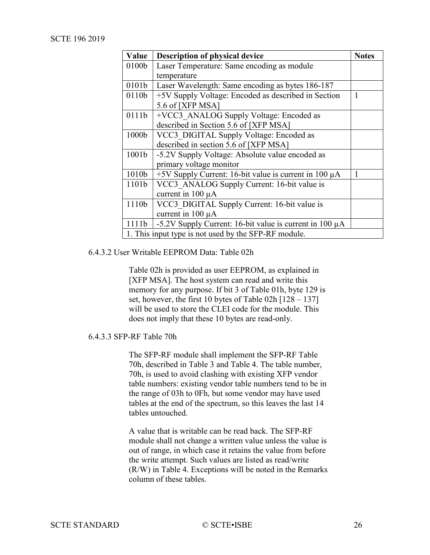| Value | <b>Description of physical device</b>                        | <b>Notes</b> |
|-------|--------------------------------------------------------------|--------------|
| 0100b | Laser Temperature: Same encoding as module                   |              |
|       | temperature                                                  |              |
| 0101b | Laser Wavelength: Same encoding as bytes 186-187             |              |
| 0110b | +5V Supply Voltage: Encoded as described in Section          | 1            |
|       | 5.6 of [XFP MSA]                                             |              |
| 0111b | +VCC3 ANALOG Supply Voltage: Encoded as                      |              |
|       | described in Section 5.6 of [XFP MSA]                        |              |
| 1000b | VCC3 DIGITAL Supply Voltage: Encoded as                      |              |
|       | described in section 5.6 of [XFP MSA]                        |              |
| 1001b | -5.2V Supply Voltage: Absolute value encoded as              |              |
|       | primary voltage monitor                                      |              |
| 1010b | +5V Supply Current: 16-bit value is current in 100 $\mu$ A   |              |
| 1101b | VCC3 ANALOG Supply Current: 16-bit value is                  |              |
|       | current in 100 µA                                            |              |
| 1110b | VCC3 DIGITAL Supply Current: 16-bit value is                 |              |
|       | current in 100 µA                                            |              |
| 1111b | -5.2V Supply Current: 16-bit value is current in 100 $\mu$ A |              |
|       | 1. This input type is not used by the SFP-RF module.         |              |

### 6.4.3.2 User Writable EEPROM Data: Table 02h

Table 02h is provided as user EEPROM, as explained in [\[XFP MSA\].](#page-7-4) The host system can read and write this memory for any purpose. If bit 3 of Table 01h, byte 129 is set, however, the first 10 bytes of Table 02h  $[128 - 137]$ will be used to store the CLEI code for the module. This does not imply that these 10 bytes are read-only.

## <span id="page-25-0"></span>6.4.3.3 SFP-RF Table 70h

The SFP-RF module shall implement the SFP-RF Table 70h, described in [Table 3](#page-26-0) and [Table 4.](#page-30-0) The table number, 70h, is used to avoid clashing with existing XFP vendor table numbers: existing vendor table numbers tend to be in the range of 03h to 0Fh, but some vendor may have used tables at the end of the spectrum, so this leaves the last 14 tables untouched.

A value that is writable can be read back. The SFP-RF module shall not change a written value unless the value is out of range, in which case it retains the value from before the write attempt. Such values are listed as read/write (R/W) in [Table 4.](#page-30-0) Exceptions will be noted in the Remarks column of these tables.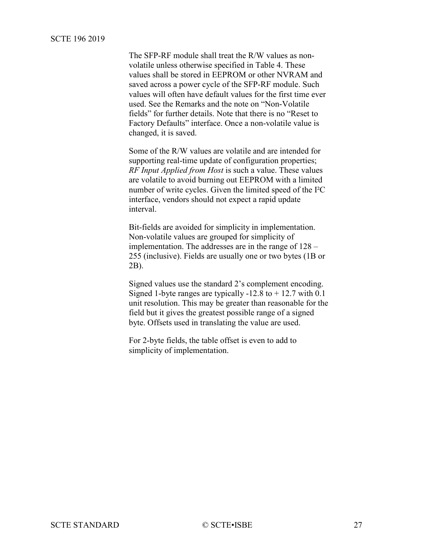<span id="page-26-0"></span>The SFP-RF module shall treat the R/W values as nonvolatile unless otherwise specified in [Table 4.](#page-30-0) These values shall be stored in EEPROM or other NVRAM and saved across a power cycle of the SFP-RF module. Such values will often have default values for the first time ever used. See the Remarks and the note on "Non-Volatile fields" for further details. Note that there is no "Reset to Factory Defaults" interface. Once a non-volatile value is changed, it is saved.

Some of the R/W values are volatile and are intended for supporting real-time update of configuration properties; *RF Input Applied from Host* is such a value. These values are volatile to avoid burning out EEPROM with a limited number of write cycles. Given the limited speed of the I²C interface, vendors should not expect a rapid update interval.

Bit-fields are avoided for simplicity in implementation. Non-volatile values are grouped for simplicity of implementation. The addresses are in the range of 128 – 255 (inclusive). Fields are usually one or two bytes (1B or 2B).

Signed values use the standard 2's complement encoding. Signed 1-byte ranges are typically  $-12.8$  to  $+12.7$  with 0.1 unit resolution. This may be greater than reasonable for the field but it gives the greatest possible range of a signed byte. Offsets used in translating the value are used.

For 2-byte fields, the table offset is even to add to simplicity of implementation.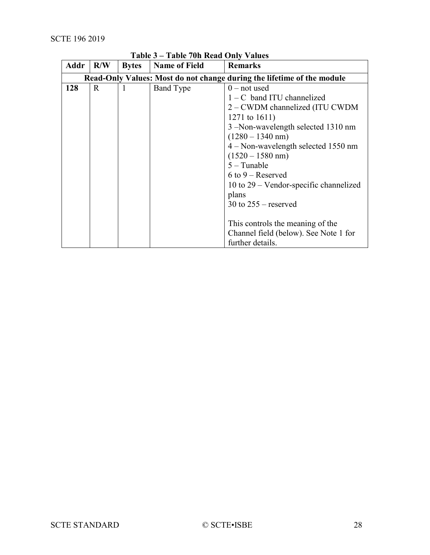| Addr | R/W          | <b>Bytes</b> | <b>Name of Field</b>                  | <b>Remarks</b>                                                         |
|------|--------------|--------------|---------------------------------------|------------------------------------------------------------------------|
|      |              |              |                                       | Read-Only Values: Most do not change during the lifetime of the module |
| 128  | $\mathbf{R}$ | 1            | <b>Band Type</b>                      | $0$ – not used                                                         |
|      |              |              |                                       | $1 - C$ band ITU channelized                                           |
|      |              |              |                                       | 2 – CWDM channelized (ITU CWDM                                         |
|      |              |              |                                       | 1271 to $1611$ )                                                       |
|      |              |              |                                       | 3 –Non-wavelength selected 1310 nm                                     |
|      |              |              |                                       | $(1280 - 1340$ nm)                                                     |
|      |              |              | $4 - Non-wavelength selected 1550 nm$ |                                                                        |
|      |              |              | $(1520 - 1580$ nm)                    |                                                                        |
|      |              |              | $5 - Tunable$                         |                                                                        |
|      |              |              |                                       | $6$ to $9$ – Reserved                                                  |
|      |              |              |                                       | 10 to $29$ – Vendor-specific channelized                               |
|      |              |              |                                       | plans                                                                  |
|      |              |              | 30 to $255$ – reserved                |                                                                        |
|      |              |              |                                       |                                                                        |
|      |              |              |                                       | This controls the meaning of the                                       |
|      |              |              |                                       | Channel field (below). See Note 1 for                                  |
|      |              |              |                                       | further details.                                                       |

# **Table 3 – Table 70h Read Only Values**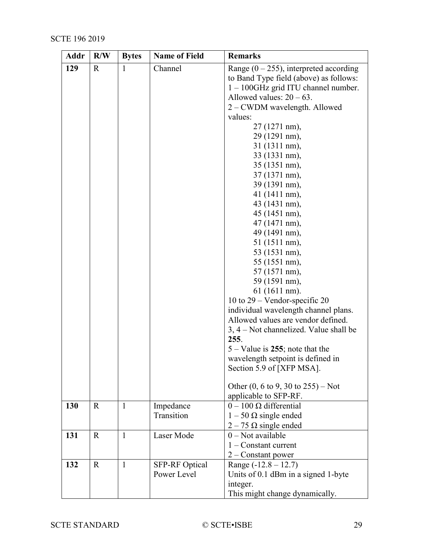| Addr | R/W         | <b>Bytes</b> | <b>Name of Field</b> | <b>Remarks</b>                                         |  |
|------|-------------|--------------|----------------------|--------------------------------------------------------|--|
| 129  | R           | 1            | Channel              | Range $(0 - 255)$ , interpreted according              |  |
|      |             |              |                      | to Band Type field (above) as follows:                 |  |
|      |             |              |                      | $1 - 100$ GHz grid ITU channel number.                 |  |
|      |             |              |                      | Allowed values: $20 - 63$ .                            |  |
|      |             |              |                      | 2 – CWDM wavelength. Allowed                           |  |
|      |             |              |                      | values:                                                |  |
|      |             |              |                      | 27 (1271 nm),                                          |  |
|      |             |              |                      | 29 (1291 nm),                                          |  |
|      |             |              |                      | 31 (1311 nm),                                          |  |
|      |             |              |                      | 33 (1331 nm),                                          |  |
|      |             |              |                      | 35 (1351 nm),                                          |  |
|      |             |              |                      | 37 (1371 nm),                                          |  |
|      |             |              |                      | 39 (1391 nm),                                          |  |
|      |             |              |                      | 41 (1411 nm),                                          |  |
|      |             |              |                      | 43 (1431 nm),                                          |  |
|      |             |              |                      | 45 (1451 nm),                                          |  |
|      |             |              |                      | 47 (1471 nm),                                          |  |
|      |             |              |                      | 49 (1491 nm),                                          |  |
|      |             |              |                      | 51 (1511 nm),                                          |  |
|      |             |              |                      | 53 (1531 nm),                                          |  |
|      |             |              |                      | 55 (1551 nm),                                          |  |
|      |             |              |                      | 57 (1571 nm),                                          |  |
|      |             |              |                      | 59 (1591 nm),                                          |  |
|      |             |              |                      | 61 (1611 nm).                                          |  |
|      |             |              |                      | 10 to $29$ – Vendor-specific 20                        |  |
|      |             |              |                      | individual wavelength channel plans.                   |  |
|      |             |              |                      | Allowed values are vendor defined.                     |  |
|      |             |              |                      | 3, 4 – Not channelized. Value shall be                 |  |
|      |             |              |                      | 255.                                                   |  |
|      |             |              |                      | $5 - Value$ is 255; note that the                      |  |
|      |             |              |                      | wavelength setpoint is defined in                      |  |
|      |             |              |                      | Section 5.9 of [XFP MSA].                              |  |
|      |             |              |                      |                                                        |  |
|      |             |              |                      | Other $(0, 6 \text{ to } 9, 30 \text{ to } 255)$ – Not |  |
|      |             |              |                      | applicable to SFP-RF.                                  |  |
| 130  | $\mathbf R$ | 1            | Impedance            | $0 - 100 \Omega$ differential                          |  |
|      |             |              | Transition           | $1 - 50 \Omega$ single ended                           |  |
|      |             |              |                      | $2 - 75 \Omega$ single ended                           |  |
| 131  | $\mathbf R$ | 1            | Laser Mode           | $0$ – Not available                                    |  |
|      |             |              |                      | $1 -$ Constant current                                 |  |
|      |             |              |                      | $2$ – Constant power                                   |  |
| 132  | $\mathbf R$ | $\mathbf{1}$ | SFP-RF Optical       | Range $(-12.8 - 12.7)$                                 |  |
|      |             |              | Power Level          | Units of 0.1 dBm in a signed 1-byte                    |  |
|      |             |              |                      | integer.                                               |  |
|      |             |              |                      | This might change dynamically.                         |  |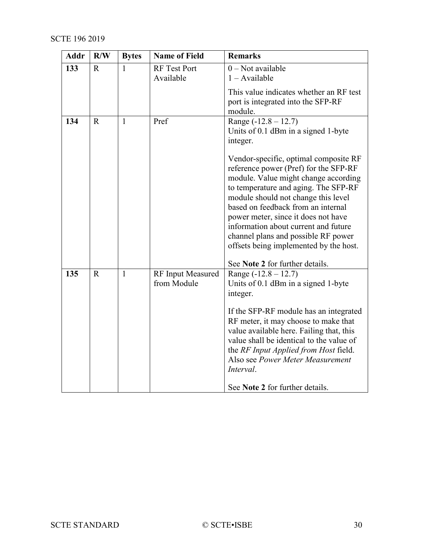| Addr | R/W         | <b>Bytes</b> | <b>Name of Field</b>                    | <b>Remarks</b>                                                                                                                                                                                                                                                                                                                                                                                                                                                                                                              |  |
|------|-------------|--------------|-----------------------------------------|-----------------------------------------------------------------------------------------------------------------------------------------------------------------------------------------------------------------------------------------------------------------------------------------------------------------------------------------------------------------------------------------------------------------------------------------------------------------------------------------------------------------------------|--|
| 133  | R           | $\mathbf{1}$ | <b>RF</b> Test Port<br>Available        | $0$ – Not available<br>$1 -$ Available                                                                                                                                                                                                                                                                                                                                                                                                                                                                                      |  |
|      |             |              |                                         | This value indicates whether an RF test<br>port is integrated into the SFP-RF<br>module.                                                                                                                                                                                                                                                                                                                                                                                                                                    |  |
| 134  | $\mathbf R$ | $\mathbf{1}$ | Pref                                    | Range $(-12.8 - 12.7)$<br>Units of 0.1 dBm in a signed 1-byte<br>integer.<br>Vendor-specific, optimal composite RF<br>reference power (Pref) for the SFP-RF<br>module. Value might change according<br>to temperature and aging. The SFP-RF<br>module should not change this level<br>based on feedback from an internal<br>power meter, since it does not have<br>information about current and future<br>channel plans and possible RF power<br>offsets being implemented by the host.<br>See Note 2 for further details. |  |
| 135  | $\mathbf R$ | $\mathbf{1}$ | <b>RF</b> Input Measured<br>from Module | Range $(-12.8 - 12.7)$<br>Units of 0.1 dBm in a signed 1-byte<br>integer.<br>If the SFP-RF module has an integrated<br>RF meter, it may choose to make that<br>value available here. Failing that, this<br>value shall be identical to the value of<br>the RF Input Applied from Host field.<br>Also see Power Meter Measurement<br>Interval.<br>See Note 2 for further details.                                                                                                                                            |  |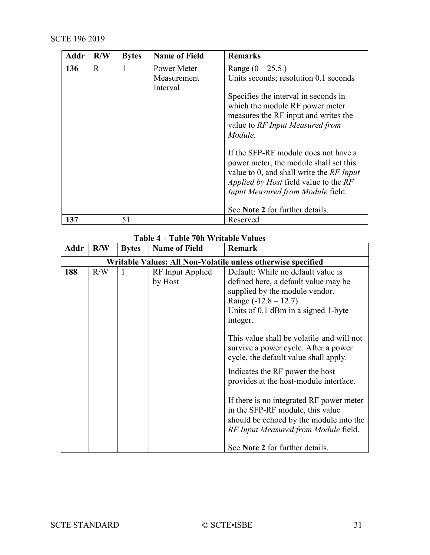| <b>Addr</b> | R/W         | <b>Bytes</b> | <b>Name of Field</b>                   | <b>Remarks</b>                                                                                                                                                                                                                                     |
|-------------|-------------|--------------|----------------------------------------|----------------------------------------------------------------------------------------------------------------------------------------------------------------------------------------------------------------------------------------------------|
| 136         | $\mathbf R$ | 1            | Power Meter<br>Measurement<br>Interval | Range $(0 - 25.5)$<br>Units seconds; resolution 0.1 seconds<br>Specifies the interval in seconds in<br>which the module RF power meter<br>measures the RF input and writes the<br>value to RF Input Measured from<br>Module.                       |
|             |             |              |                                        | If the SFP-RF module does not have a<br>power meter, the module shall set this<br>value to 0, and shall write the RF Input<br><i>Applied by Host field value to the RF</i><br>Input Measured from Module field.<br>See Note 2 for further details. |
| 137         |             | 51           |                                        | Reserved                                                                                                                                                                                                                                           |

# **Table 4 – Table 70h Writable Values**

<span id="page-30-0"></span>

| Addr | R/W | <b>Bytes</b> | <b>Name of Field</b> | <b>Remark</b>                                                |  |
|------|-----|--------------|----------------------|--------------------------------------------------------------|--|
|      |     |              |                      | Writable Values: All Non-Volatile unless otherwise specified |  |
| 188  | R/W | 1            | RF Input Applied     | Default: While no default value is                           |  |
|      |     |              | by Host              | defined here, a default value may be                         |  |
|      |     |              |                      | supplied by the module vendor.                               |  |
|      |     |              |                      | Range $(-12.8 - 12.7)$                                       |  |
|      |     |              |                      | Units of 0.1 dBm in a signed 1-byte                          |  |
|      |     |              |                      | integer.                                                     |  |
|      |     |              |                      |                                                              |  |
|      |     |              |                      | This value shall be volatile and will not                    |  |
|      |     |              |                      | survive a power cycle. After a power                         |  |
|      |     |              |                      | cycle, the default value shall apply.                        |  |
|      |     |              |                      | Indicates the RF power the host                              |  |
|      |     |              |                      | provides at the host-module interface.                       |  |
|      |     |              |                      |                                                              |  |
|      |     |              |                      | If there is no integrated RF power meter                     |  |
|      |     |              |                      | in the SFP-RF module, this value                             |  |
|      |     |              |                      | should be echoed by the module into the                      |  |
|      |     |              |                      | RF Input Measured from Module field.                         |  |
|      |     |              |                      |                                                              |  |
|      |     |              |                      | See Note 2 for further details.                              |  |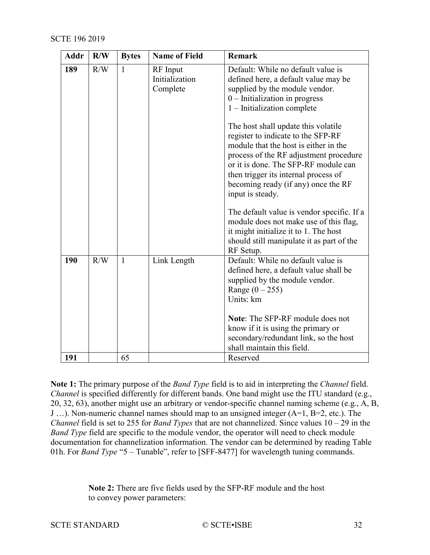| <b>Addr</b> | R/W | <b>Bytes</b> | <b>Name of Field</b>                   | <b>Remark</b>                                                                                                                                                                                                                                                                                                                                                                                                                                                                                |  |
|-------------|-----|--------------|----------------------------------------|----------------------------------------------------------------------------------------------------------------------------------------------------------------------------------------------------------------------------------------------------------------------------------------------------------------------------------------------------------------------------------------------------------------------------------------------------------------------------------------------|--|
| 189         | R/W | $\mathbf{1}$ | RF Input<br>Initialization<br>Complete | Default: While no default value is<br>defined here, a default value may be<br>supplied by the module vendor.<br>$0$ – Initialization in progress<br>$1$ – Initialization complete<br>The host shall update this volatile<br>register to indicate to the SFP-RF<br>module that the host is either in the<br>process of the RF adjustment procedure<br>or it is done. The SFP-RF module can<br>then trigger its internal process of<br>becoming ready (if any) once the RF<br>input is steady. |  |
|             |     |              |                                        | The default value is vendor specific. If a<br>module does not make use of this flag,<br>it might initialize it to 1. The host<br>should still manipulate it as part of the<br>RF Setup.                                                                                                                                                                                                                                                                                                      |  |
| 190         | R/W | 1            | Link Length                            | Default: While no default value is<br>defined here, a default value shall be<br>supplied by the module vendor.<br>Range $(0 - 255)$<br>Units: km<br><b>Note:</b> The SFP-RF module does not<br>know if it is using the primary or<br>secondary/redundant link, so the host<br>shall maintain this field.                                                                                                                                                                                     |  |
| 191         |     | 65           |                                        | Reserved                                                                                                                                                                                                                                                                                                                                                                                                                                                                                     |  |

**Note 1:** The primary purpose of the *Band Type* field is to aid in interpreting the *Channel* field. *Channel* is specified differently for different bands. One band might use the ITU standard (e.g., 20, 32, 63), another might use an arbitrary or vendor-specific channel naming scheme (e.g., A, B, J …). Non-numeric channel names should map to an unsigned integer (A=1, B=2, etc.). The *Channel* field is set to 255 for *Band Types* that are not channelized. Since values 10 – 29 in the *Band Type* field are specific to the module vendor, the operator will need to check module documentation for channelization information. The vendor can be determined by reading Table 01h. For *Band Type* "5 – Tunable", refer to [\[SFF-8477\]](#page-7-5) for wavelength tuning commands.

> **Note 2:** There are five fields used by the SFP-RF module and the host to convey power parameters: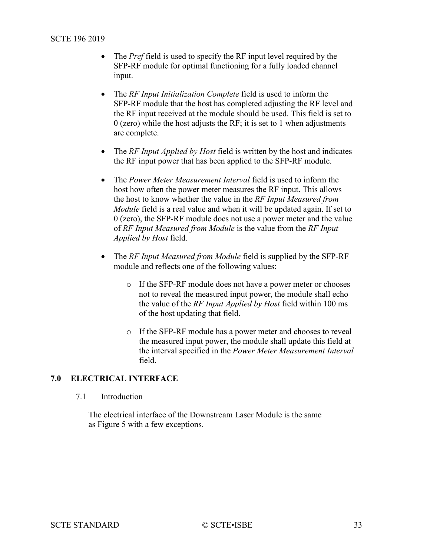- The *Pref* field is used to specify the RF input level required by the SFP-RF module for optimal functioning for a fully loaded channel input.
- The *RF Input Initialization Complete* field is used to inform the SFP-RF module that the host has completed adjusting the RF level and the RF input received at the module should be used. This field is set to 0 (zero) while the host adjusts the RF; it is set to 1 when adjustments are complete.
- The *RF Input Applied by Host* field is written by the host and indicates the RF input power that has been applied to the SFP-RF module.
- The *Power Meter Measurement Interval* field is used to inform the host how often the power meter measures the RF input. This allows the host to know whether the value in the *RF Input Measured from Module* field is a real value and when it will be updated again. If set to 0 (zero), the SFP-RF module does not use a power meter and the value of *RF Input Measured from Module* is the value from the *RF Input Applied by Host* field.
- The *RF Input Measured from Module* field is supplied by the SFP-RF module and reflects one of the following values:
	- o If the SFP-RF module does not have a power meter or chooses not to reveal the measured input power, the module shall echo the value of the *RF Input Applied by Host* field within 100 ms of the host updating that field.
	- o If the SFP-RF module has a power meter and chooses to reveal the measured input power, the module shall update this field at the interval specified in the *Power Meter Measurement Interval* field.

# <span id="page-32-1"></span><span id="page-32-0"></span>**7.0 ELECTRICAL INTERFACE**

7.1 Introduction

The electrical interface of the Downstream Laser Module is the same as [Figure 5](#page-33-1) with a few exceptions.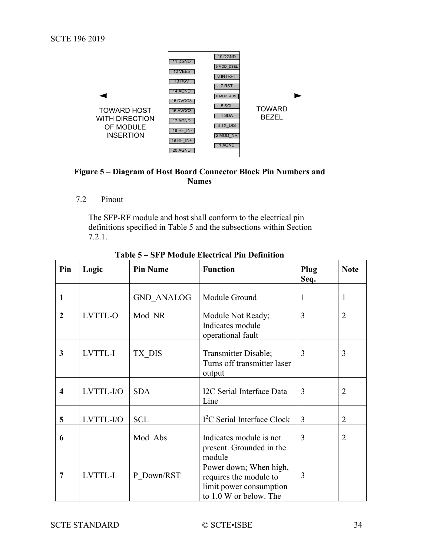

# <span id="page-33-1"></span>**Figure 5 – Diagram of Host Board Connector Block Pin Numbers and Names**

<span id="page-33-0"></span>7.2 Pinout

The SFP-RF module and host shall conform to the electrical pin definitions specified in [Table](#page-33-2) 5 and the subsections within Section [7.2.1.](#page-35-0)

<span id="page-33-2"></span>

| Pin                     | Logic     | <b>Pin Name</b>   | <b>Function</b>                                                                                       | Plug<br>Seq.   | <b>Note</b>    |
|-------------------------|-----------|-------------------|-------------------------------------------------------------------------------------------------------|----------------|----------------|
| $\mathbf{1}$            |           | <b>GND ANALOG</b> | Module Ground                                                                                         | 1              | 1              |
| $\overline{2}$          | LVTTL-O   | Mod NR            | Module Not Ready;<br>Indicates module<br>operational fault                                            | 3              | $\overline{2}$ |
| 3                       | LVTTL-I   | TX DIS            | Transmitter Disable;<br>Turns off transmitter laser<br>output                                         | 3              | 3              |
| $\overline{\mathbf{4}}$ | LVTTL-I/O | <b>SDA</b>        | I2C Serial Interface Data<br>Line                                                                     | 3              | 2              |
| $5\overline{)}$         | LVTTL-I/O | <b>SCL</b>        | $I2C$ Serial Interface Clock                                                                          | $\overline{3}$ | $\overline{2}$ |
| 6                       |           | Mod Abs           | Indicates module is not<br>present. Grounded in the<br>module                                         | 3              | $\overline{2}$ |
| 7                       | LVTTL-I   | P Down/RST        | Power down; When high,<br>requires the module to<br>limit power consumption<br>to 1.0 W or below. The | 3              |                |

**Table 5 – SFP Module Electrical Pin Definition**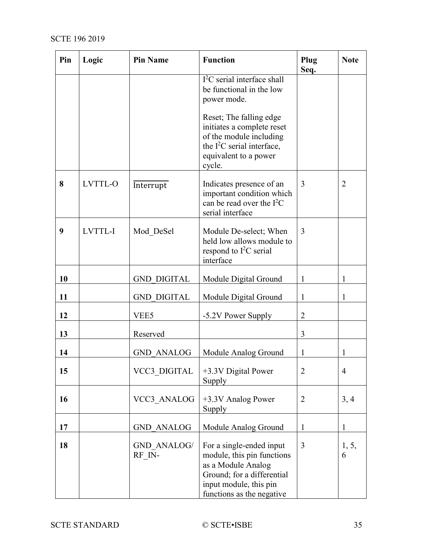| Pin | Logic   | <b>Pin Name</b>                                                         | <b>Function</b>                                                                                                                                                   | Plug<br>Seq.   | <b>Note</b>    |
|-----|---------|-------------------------------------------------------------------------|-------------------------------------------------------------------------------------------------------------------------------------------------------------------|----------------|----------------|
|     |         | $I2C$ serial interface shall<br>be functional in the low<br>power mode. |                                                                                                                                                                   |                |                |
|     |         |                                                                         | Reset; The falling edge<br>initiates a complete reset<br>of the module including<br>the $I^2C$ serial interface,<br>equivalent to a power<br>cycle.               |                |                |
| 8   | LVTTL-O | Interrupt                                                               | Indicates presence of an<br>important condition which<br>can be read over the $I^2C$<br>serial interface                                                          | 3              | 2              |
| 9   | LVTTL-I | Mod DeSel                                                               | Module De-select; When<br>held low allows module to<br>respond to $I2C$ serial<br>interface                                                                       | 3              |                |
| 10  |         | <b>GND DIGITAL</b>                                                      | Module Digital Ground                                                                                                                                             | 1              | 1              |
| 11  |         | <b>GND DIGITAL</b>                                                      | Module Digital Ground                                                                                                                                             | 1              | 1              |
| 12  |         | VEE5                                                                    | -5.2V Power Supply                                                                                                                                                | $\overline{2}$ |                |
| 13  |         | Reserved                                                                |                                                                                                                                                                   | 3              |                |
| 14  |         | <b>GND ANALOG</b>                                                       | Module Analog Ground                                                                                                                                              | 1              | 1              |
| 15  |         | VCC3 DIGITAL                                                            | +3.3V Digital Power<br>Supply                                                                                                                                     | 2              | $\overline{4}$ |
| 16  |         | VCC3 ANALOG                                                             | +3.3V Analog Power<br>Supply                                                                                                                                      | $\overline{2}$ | 3, 4           |
| 17  |         | <b>GND ANALOG</b>                                                       | Module Analog Ground                                                                                                                                              | 1              | $\mathbf{1}$   |
| 18  |         | GND ANALOG/<br>RF IN-                                                   | For a single-ended input<br>module, this pin functions<br>as a Module Analog<br>Ground; for a differential<br>input module, this pin<br>functions as the negative | 3              | 1, 5,<br>6     |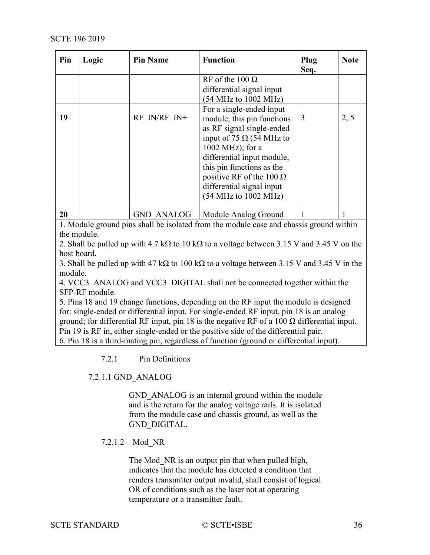| Pin | Logic | <b>Pin Name</b>   | <b>Function</b>                 | Plug<br>Seq. | <b>Note</b> |
|-----|-------|-------------------|---------------------------------|--------------|-------------|
|     |       |                   | RF of the $100 \Omega$          |              |             |
|     |       |                   | differential signal input       |              |             |
|     |       |                   | (54 MHz to 1002 MHz)            |              |             |
|     |       |                   | For a single-ended input        |              |             |
| 19  |       | RF IN/RF IN+      | module, this pin functions      | 3            | 2, 5        |
|     |       |                   | as RF signal single-ended       |              |             |
|     |       |                   | input of 75 $\Omega$ (54 MHz to |              |             |
|     |       |                   | $1002 \text{ MHz}$ ; for a      |              |             |
|     |       |                   | differential input module,      |              |             |
|     |       |                   | this pin functions as the       |              |             |
|     |       |                   | positive RF of the 100 $\Omega$ |              |             |
|     |       |                   | differential signal input       |              |             |
|     |       |                   | (54 MHz to 1002 MHz)            |              |             |
|     |       |                   |                                 |              |             |
| 20  |       | <b>GND ANALOG</b> | Module Analog Ground            |              |             |

1. Module ground pins shall be isolated from the module case and chassis ground within the module.

2. Shall be pulled up with 4.7 kΩ to 10 kΩ to a voltage between 3.15 V and 3.45 V on the host board.

3. Shall be pulled up with 47 kΩ to 100 kΩ to a voltage between 3.15 V and 3.45 V in the module.

4. VCC3\_ANALOG and VCC3\_DIGITAL shall not be connected together within the SFP-RF module.

5. Pins 18 and 19 change functions, depending on the RF input the module is designed for: single-ended or differential input. For single-ended RF input, pin 18 is an analog ground; for differential RF input, pin 18 is the negative RF of a 100 Ω differential input. Pin 19 is RF in, either single-ended or the positive side of the differential pair. 6. Pin 18 is a third-mating pin, regardless of function (ground or differential input).

7.2.1 Pin Definitions

# <span id="page-35-0"></span>7.2.1.1 GND\_ANALOG

GND ANALOG is an internal ground within the module and is the return for the analog voltage rails. It is isolated from the module case and chassis ground, as well as the GND\_DIGITAL.

# 7.2.1.2 Mod\_NR

The Mod NR is an output pin that when pulled high, indicates that the module has detected a condition that renders transmitter output invalid, shall consist of logical OR of conditions such as the laser not at operating temperature or a transmitter fault.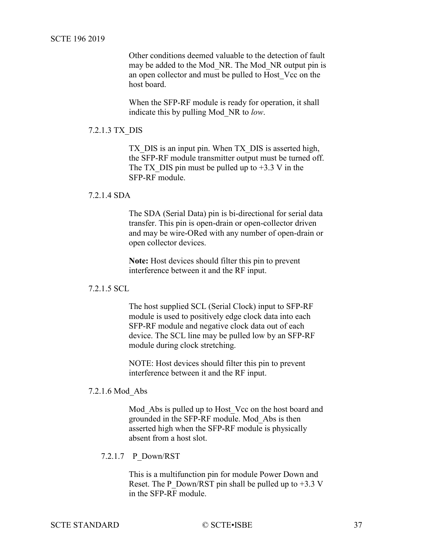Other conditions deemed valuable to the detection of fault may be added to the Mod\_NR. The Mod\_NR output pin is an open collector and must be pulled to Host\_Vcc on the host board.

When the SFP-RF module is ready for operation, it shall indicate this by pulling Mod\_NR to *low*.

## 7.2.1.3 TX\_DIS

TX DIS is an input pin. When TX DIS is asserted high, the SFP-RF module transmitter output must be turned off. The TX DIS pin must be pulled up to  $+3.3$  V in the SFP-RF module.

### 7.2.1.4 SDA

The SDA (Serial Data) pin is bi-directional for serial data transfer. This pin is open-drain or open-collector driven and may be wire-ORed with any number of open-drain or open collector devices.

**Note:** Host devices should filter this pin to prevent interference between it and the RF input.

## 7.2.1.5 SCL

The host supplied SCL (Serial Clock) input to SFP-RF module is used to positively edge clock data into each SFP-RF module and negative clock data out of each device. The SCL line may be pulled low by an SFP-RF module during clock stretching.

NOTE: Host devices should filter this pin to prevent interference between it and the RF input.

#### 7.2.1.6 Mod\_Abs

Mod Abs is pulled up to Host Vcc on the host board and grounded in the SFP-RF module. Mod\_Abs is then asserted high when the SFP-RF module is physically absent from a host slot.

## 7.2.1.7 P\_Down/RST

This is a multifunction pin for module Power Down and Reset. The P\_Down/RST pin shall be pulled up to  $+3.3$  V in the SFP-RF module.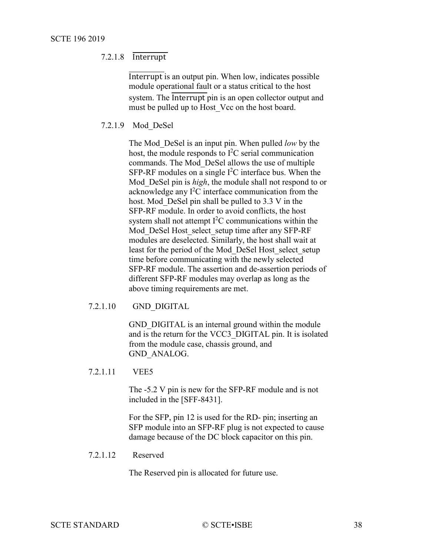## 7.2.1.8 Interrupt

Interrupt is an output pin. When low, indicates possible module operational fault or a status critical to the host system. The Interrupt pin is an open collector output and must be pulled up to Host Vcc on the host board.

### 7.2.1.9 Mod\_DeSel

The Mod\_DeSel is an input pin. When pulled *low* by the host, the module responds to  $I^2C$  serial communication commands. The Mod\_DeSel allows the use of multiple SFP-RF modules on a single  $I^2C$  interface bus. When the Mod\_DeSel pin is *high*, the module shall not respond to or acknowledge any  $I^2C$  interface communication from the host. Mod DeSel pin shall be pulled to 3.3 V in the SFP-RF module. In order to avoid conflicts, the host system shall not attempt  $I<sup>2</sup>C$  communications within the Mod DeSel Host select setup time after any SFP-RF modules are deselected. Similarly, the host shall wait at least for the period of the Mod\_DeSel Host\_select\_setup time before communicating with the newly selected SFP-RF module. The assertion and de-assertion periods of different SFP-RF modules may overlap as long as the above timing requirements are met.

#### 7.2.1.10 GND\_DIGITAL

GND DIGITAL is an internal ground within the module and is the return for the VCC3\_DIGITAL pin. It is isolated from the module case, chassis ground, and GND\_ANALOG.

#### 7.2.1.11 VEE5

The -5.2 V pin is new for the SFP-RF module and is not included in the [\[SFF-8431\].](#page-7-3)

For the SFP, pin 12 is used for the RD- pin; inserting an SFP module into an SFP-RF plug is not expected to cause damage because of the DC block capacitor on this pin.

## 7.2.1.12 Reserved

The Reserved pin is allocated for future use.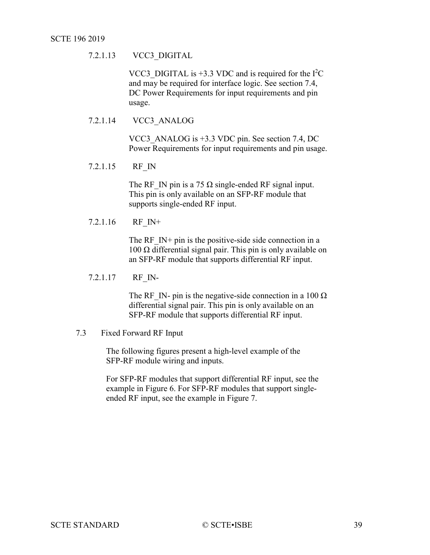# 7.2.1.13 VCC3\_DIGITAL

VCC3\_DIGITAL is  $+3.3$  VDC and is required for the  $I<sup>2</sup>C$ and may be required for interface logic. See section [7.4,](#page-42-3) [DC Power Requirements](#page-42-3) for input requirements and pin usage.

## 7.2.1.14 VCC3\_ANALOG

VCC3\_ANALOG is +3.3 VDC pin. See section [7.4, DC](#page-42-3)  [Power Requirements](#page-42-3) for input requirements and pin usage.

7.2.1.15 RF\_IN

The RF IN pin is a 75  $\Omega$  single-ended RF signal input. This pin is only available on an SFP-RF module that supports single-ended RF input.

7.2.1.16 RF\_IN+

The RF  $IN+$  pin is the positive-side side connection in a 100 Ω differential signal pair. This pin is only available on an SFP-RF module that supports differential RF input.

#### 7.2.1.17 RF\_IN-

The RF IN- pin is the negative-side connection in a 100  $\Omega$ differential signal pair. This pin is only available on an SFP-RF module that supports differential RF input.

#### <span id="page-38-0"></span>7.3 Fixed Forward RF Input

The following figures present a high-level example of the SFP-RF module wiring and inputs.

For SFP-RF modules that support differential RF input, see the example in [Figure 6.](#page-39-2) For SFP-RF modules that support singleended RF input, see the example in [Figure 7.](#page-39-3)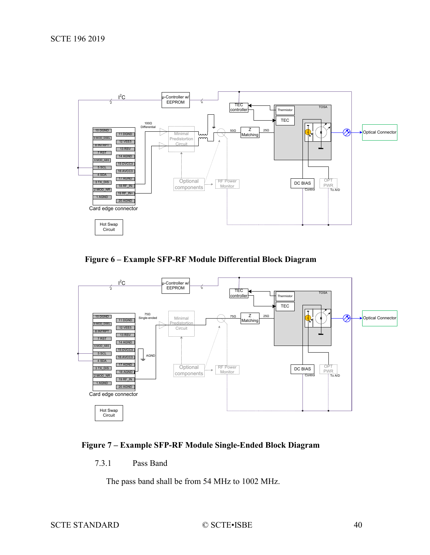<span id="page-39-1"></span>

<span id="page-39-2"></span>**Figure 6 – Example SFP-RF Module Differential Block Diagram**



# <span id="page-39-3"></span><span id="page-39-0"></span>**Figure 7 – Example SFP-RF Module Single-Ended Block Diagram**

7.3.1 Pass Band

The pass band shall be from 54 MHz to 1002 MHz.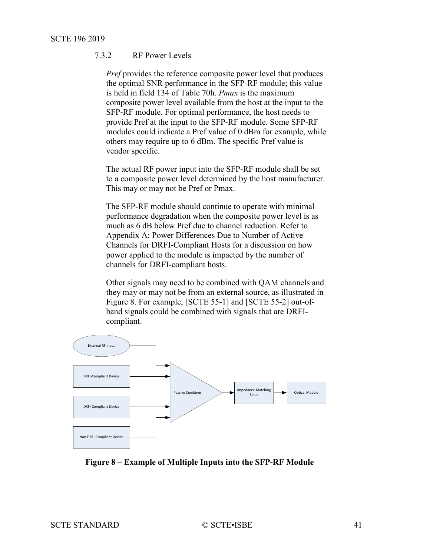# 7.3.2 RF Power Levels

*Pref* provides the reference composite power level that produces the optimal SNR performance in the SFP-RF module; this value is held in field 134 of Table 70h. *Pmax* is the maximum composite power level available from the host at the input to the SFP-RF module. For optimal performance, the host needs to provide Pref at the input to the SFP-RF module. Some SFP-RF modules could indicate a Pref value of 0 dBm for example, while others may require up to 6 dBm. The specific Pref value is vendor specific.

The actual RF power input into the SFP-RF module shall be set to a composite power level determined by the host manufacturer. This may or may not be Pref or Pmax.

The SFP-RF module should continue to operate with minimal performance degradation when the composite power level is as much as 6 dB below Pref due to channel reduction. Refer to [Appendix A:](#page-50-5) [Power Differences Due to Number of Active](#page-50-5)  [Channels for DRFI-Compliant Hosts](#page-50-5) for a discussion on how power applied to the module is impacted by the number of channels for DRFI-compliant hosts.

Other signals may need to be combined with QAM channels and they may or may not be from an external source, as illustrated in [Figure 8.](#page-40-0) For example, [\[SCTE 55-1\]](#page-7-6) and [\[SCTE 55-2\]](#page-7-7) out-ofband signals could be combined with signals that are DRFIcompliant.



<span id="page-40-0"></span>**Figure 8 – Example of Multiple Inputs into the SFP-RF Module**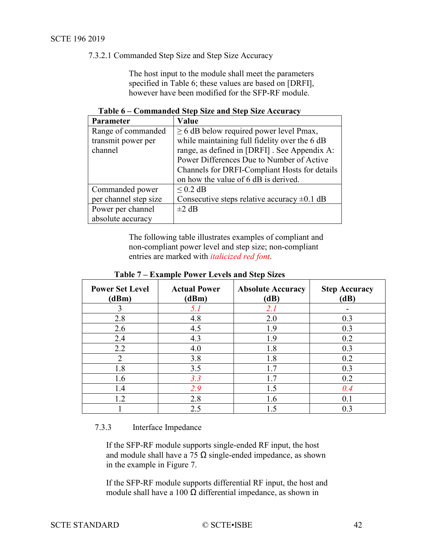7.3.2.1 Commanded Step Size and Step Size Accuracy

The host input to the module shall meet the parameters specified in [Table 6;](#page-41-1) these values are based on [\[DRFI\],](#page-7-8) however have been modified for the SFP-RF module.

|  |  |  |  |  | Table 6 - Commanded Step Size and Step Size Accuracy |
|--|--|--|--|--|------------------------------------------------------|
|--|--|--|--|--|------------------------------------------------------|

<span id="page-41-1"></span>

| Parameter             | Value                                            |
|-----------------------|--------------------------------------------------|
| Range of commanded    | $\geq$ 6 dB below required power level Pmax,     |
| transmit power per    | while maintaining full fidelity over the 6 dB    |
| channel               | range, as defined in [DRFI]. See Appendix A:     |
|                       | Power Differences Due to Number of Active        |
|                       | Channels for DRFI-Compliant Hosts for details    |
|                       | on how the value of 6 dB is derived.             |
| Commanded power       | $< 0.2$ dB                                       |
| per channel step size | Consecutive steps relative accuracy $\pm 0.1$ dB |
| Power per channel     | $\pm 2$ dB                                       |
| absolute accuracy     |                                                  |

The following table illustrates examples of compliant and non-compliant power level and step size; non-compliant entries are marked with *italicized red font*.

<span id="page-41-2"></span>

| <b>Power Set Level</b><br>(dBm) | <b>Actual Power</b><br>(dBm) | <b>Absolute Accuracy</b><br>(dB) | <b>Step Accuracy</b><br>(dB) |
|---------------------------------|------------------------------|----------------------------------|------------------------------|
|                                 | 5.1                          | 2.1                              |                              |
| 2.8                             | 4.8                          | 2.0                              | 0.3                          |
| 2.6                             | 4.5                          | 1.9                              | 0.3                          |
| 2.4                             | 4.3                          | 1.9                              | 0.2                          |
| 2.2                             | 4.0                          | 1.8                              | 0.3                          |
| 2                               | 3.8                          | 1.8                              | 0.2                          |
| 1.8                             | 3.5                          | 1.7                              | 0.3                          |
| 1.6                             | 3.3                          | 1.7                              | 0.2                          |
| 1.4                             | 2.9                          | 1.5                              | 0.4                          |
| 1.2                             | 2.8                          | 1.6                              | 0.1                          |
|                                 | 2.5                          | 1.5                              | 0.3                          |

**Table 7 – Example Power Levels and Step Sizes**

## <span id="page-41-0"></span>7.3.3 Interface Impedance

If the SFP-RF module supports single-ended RF input, the host and module shall have a 75  $\Omega$  single-ended impedance, as shown in the example in [Figure 7.](#page-39-3)

If the SFP-RF module supports differential RF input, the host and module shall have a 100  $\Omega$  differential impedance, as shown in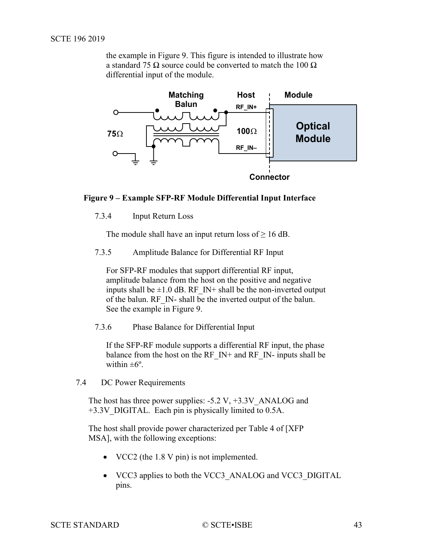the example in [Figure 9.](#page-42-4) This figure is intended to illustrate how a standard 75  $\Omega$  source could be converted to match the 100  $\Omega$ differential input of the module.



# <span id="page-42-4"></span><span id="page-42-0"></span>**Figure 9 – Example SFP-RF Module Differential Input Interface**

7.3.4 Input Return Loss

The module shall have an input return loss of  $\geq 16$  dB.

<span id="page-42-1"></span>7.3.5 Amplitude Balance for Differential RF Input

For SFP-RF modules that support differential RF input, amplitude balance from the host on the positive and negative inputs shall be  $\pm 1.0$  dB. RF IN+ shall be the non-inverted output of the balun. RF\_IN- shall be the inverted output of the balun. See the example in [Figure 9.](#page-42-4)

<span id="page-42-2"></span>7.3.6 Phase Balance for Differential Input

If the SFP-RF module supports a differential RF input, the phase balance from the host on the RF\_IN+ and RF\_IN- inputs shall be within  $\pm 6^\circ$ .

<span id="page-42-3"></span>7.4 DC Power Requirements

The host has three power supplies:  $-5.2$  V,  $+3.3V$  ANALOG and +3.3V\_DIGITAL. Each pin is physically limited to 0.5A.

The host shall provide power characterized per Table 4 of [\[XFP](#page-7-4)  [MSA\],](#page-7-4) with the following exceptions:

- VCC2 (the 1.8 V pin) is not implemented.
- VCC3 applies to both the VCC3\_ANALOG and VCC3\_DIGITAL pins.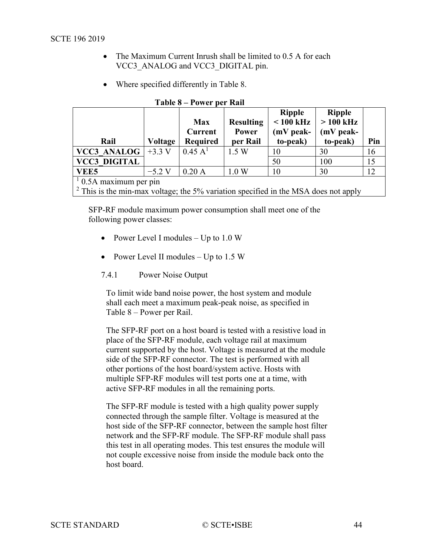- <span id="page-43-1"></span>• The Maximum Current Inrush shall be limited to 0.5 A for each VCC3\_ANALOG and VCC3\_DIGITAL pin.
- Where specified differently in [Table 8.](#page-43-2)

<span id="page-43-2"></span>

| Rail                    | <b>Voltage</b> | <b>Max</b><br><b>Current</b><br><b>Required</b> | <b>Resulting</b><br>Power<br>per Rail | <b>Ripple</b><br>$< 100$ kHz<br>$(mV$ peak-<br>to-peak) | <b>Ripple</b><br>$>100$ kHz<br>$(mV$ peak-<br>to-peak) | Pin |
|-------------------------|----------------|-------------------------------------------------|---------------------------------------|---------------------------------------------------------|--------------------------------------------------------|-----|
| <b>VCC3 ANALOG</b>      | $+3.3$ V       | $0.45 \text{ A}^{1}$                            | 1.5 W                                 | 10                                                      | 30                                                     | 16  |
| <b>VCC3 DIGITAL</b>     |                |                                                 |                                       | 50                                                      | 100                                                    | 15  |
| <b>VEE5</b>             | $-5.2$ V       | 0.20A                                           | 1.0 W                                 | 10                                                      | 30                                                     | 12  |
| $10.5A$ maximum per pin |                |                                                 |                                       |                                                         |                                                        |     |

| Table 8 – Power per Rail |  |
|--------------------------|--|
|--------------------------|--|

<sup>2</sup> This is the min-max voltage; the 5% variation specified in the MSA does not apply

SFP-RF module maximum power consumption shall meet one of the following power classes:

- Power Level I modules  $-$  Up to 1.0 W
- Power Level II modules Up to 1.5 W
- <span id="page-43-0"></span>7.4.1 Power Noise Output

To limit wide band noise power, the host system and module shall each meet a maximum peak-peak noise, as specified in Table 8 – [Power per Rail.](#page-43-2)

The SFP-RF port on a host board is tested with a resistive load in place of the SFP-RF module, each voltage rail at maximum current supported by the host. Voltage is measured at the module side of the SFP-RF connector. The test is performed with all other portions of the host board/system active. Hosts with multiple SFP-RF modules will test ports one at a time, with active SFP-RF modules in all the remaining ports.

The SFP-RF module is tested with a high quality power supply connected through the sample filter. Voltage is measured at the host side of the SFP-RF connector, between the sample host filter network and the SFP-RF module. The SFP-RF module shall pass this test in all operating modes. This test ensures the module will not couple excessive noise from inside the module back onto the host board.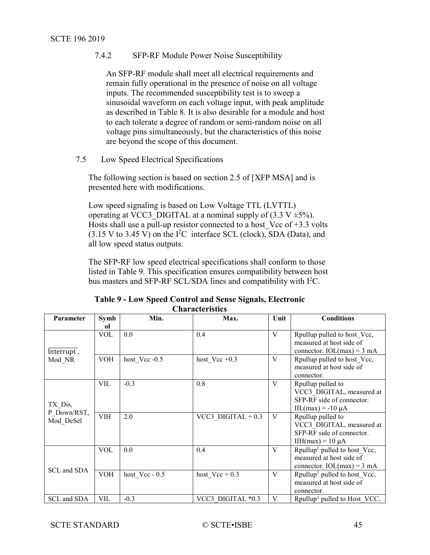## 7.4.2 SFP-RF Module Power Noise Susceptibility

An SFP-RF module shall meet all electrical requirements and remain fully operational in the presence of noise on all voltage inputs. The recommended susceptibility test is to sweep a sinusoidal waveform on each voltage input, with peak amplitude as described in [Table 8.](#page-43-2) It is also desirable for a module and host to each tolerate a degree of random or semi-random noise on all voltage pins simultaneously, but the characteristics of this noise are beyond the scope of this document.

<span id="page-44-0"></span>7.5 Low Speed Electrical Specifications

The following section is based on section 2.5 of [\[XFP MSA\]](#page-7-4) and is presented here with modifications.

Low speed signaling is based on Low Voltage TTL (LVTTL) operating at VCC3\_DIGITAL at a nominal supply of  $(3.3 \text{ V } \pm 5\%)$ . Hosts shall use a pull-up resistor connected to a host Vcc of  $+3.3$  volts  $(3.15 \text{ V to } 3.45 \text{ V})$  on the I<sup>2</sup>C interface SCL (clock), SDA (Data), and all low speed status outputs.

The SFP-RF low speed electrical specifications shall conform to those listed in [Table 9.](#page-44-1) This specification ensures compatibility between host bus masters and SFP-RF SCL/SDA lines and compatibility with  $I^2C$ .

<span id="page-44-1"></span>

|                          |            |                  | <b>Characteristics</b> |      |                                                                                                                           |
|--------------------------|------------|------------------|------------------------|------|---------------------------------------------------------------------------------------------------------------------------|
| Parameter                | Symb<br>ol | Min.             | Max.                   | Unit | <b>Conditions</b>                                                                                                         |
| Interrupt,               | <b>VOL</b> | 0.0              | 0.4                    | V    | Rpullup pulled to host Vcc,<br>measured at host side of<br>connector. $IOL(max) = 3 mA$                                   |
| Mod NR                   | VOH        | host Vcc -0.5    | host $Vec +0.3$        | V    | Rpullup pulled to host Vcc,<br>measured at host side of<br>connector.                                                     |
| TX Dis,                  | VIL        | $-0.3$           | 0.8                    | V    | Rpullup pulled to<br>VCC3 DIGITAL, measured at<br>SFP-RF side of connector.<br>$\text{IIL}(\text{max}) = -10 \mu\text{A}$ |
| P Down/RST,<br>Mod DeSel | <b>VIH</b> | 2.0              | VCC3 DIGITAL $+0.3$    | V    | Rpullup pulled to<br>VCC3 DIGITAL, measured at<br>SFP-RF side of connector.<br>$IIH(max) = 10 \mu A$                      |
| SCL and SDA              | <b>VOL</b> | 0.0              | 0.4                    | V    | Rpullup <sup>1</sup> pulled to host_Vcc,<br>measured at host side of<br>connector. $IOL(max) = 3 mA$                      |
|                          | <b>VOH</b> | host $Vec - 0.5$ | host $Vec + 0.3$       | V    | Rpullup <sup>1</sup> pulled to host Vcc,<br>measured at host side of<br>connector.                                        |
| SCL and SDA              | VIL        | $-0.3$           | VCC3 DIGITAL *0.3      | V    | Rpullup <sup>1</sup> pulled to Host VCC,                                                                                  |

| Table 9 - Low Speed Control and Sense Signals, Electronic |
|-----------------------------------------------------------|
| <b>Characteristics</b>                                    |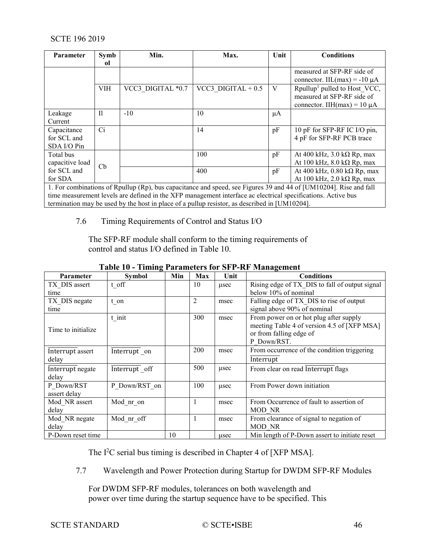| Parameter                                 | Symb        | Min.              | Max.                | Unit | <b>Conditions</b>                                                                                                 |
|-------------------------------------------|-------------|-------------------|---------------------|------|-------------------------------------------------------------------------------------------------------------------|
|                                           | ΩĪ          |                   |                     |      |                                                                                                                   |
|                                           |             |                   |                     |      | measured at SFP-RF side of<br>connector. IIL(max) = -10 $\mu$ A                                                   |
|                                           | <b>VIH</b>  | VCC3 DIGITAL *0.7 | VCC3 DIGITAL $+0.5$ | V    | Rpullup <sup>1</sup> pulled to Host VCC,<br>measured at SFP-RF side of<br>connector. IIH(max) = $10 \mu A$        |
| Leakage<br>Current                        | $_{\rm II}$ | $-10$             | 10                  | μA   |                                                                                                                   |
| Capacitance<br>for SCL and<br>SDA I/O Pin | Ci          |                   | 14                  | pF   | 10 pF for SFP-RF IC I/O pin,<br>4 pF for SFP-RF PCB trace                                                         |
| Total bus<br>capacitive load              | Cb          |                   | 100                 | pF   | At 400 kHz, $3.0$ k $\Omega$ Rp, max<br>At 100 kHz, $8.0$ k $\Omega$ Rp, max                                      |
| for SCL and<br>for SDA                    |             |                   | 400                 | pF   | At 400 kHz, $0.80$ k $\Omega$ Rp, max<br>At 100 kHz, 2.0 k $\Omega$ Rp, max                                       |
|                                           |             |                   |                     |      | 1. For combinations of Rpullup (Rp), bus capacitance and speed, see Figures 39 and 44 of [UM10204]. Rise and fall |

<span id="page-45-0"></span>time measurement levels are defined in the XFP management interface ac electrical specifications. Active bus termination may be used by the host in place of a pullup resistor, as described in [\[UM10204\].](#page-8-2)

## 7.6 Timing Requirements of Control and Status I/O

The SFP-RF module shall conform to the timing requirements of control and status I/O defined in [Table 10.](#page-45-2)

<span id="page-45-2"></span>

| <b>Parameter</b>   | Symbol        | Min | Max | Unit | <b>Conditions</b>                              |
|--------------------|---------------|-----|-----|------|------------------------------------------------|
| TX DIS assert      | t off         |     | 10  | usec | Rising edge of TX DIS to fall of output signal |
| time               |               |     |     |      | below 10% of nominal                           |
| TX DIS negate      | t on          |     | 2   | msec | Falling edge of TX DIS to rise of output       |
| time               |               |     |     |      | signal above 90% of nominal                    |
|                    | t init        |     | 300 | msec | From power on or hot plug after supply         |
| Time to initialize |               |     |     |      | meeting Table 4 of version 4.5 of [XFP MSA]    |
|                    |               |     |     |      | or from falling edge of                        |
|                    |               |     |     |      | P Down/RST.                                    |
| Interrupt assert   | Interrupt on  |     | 200 | msec | From occurrence of the condition triggering    |
| delay              |               |     |     |      | Interrupt                                      |
| Interrupt negate   | Interrupt off |     | 500 | usec | From clear on read Interrupt flags             |
| delay              |               |     |     |      |                                                |
| P Down/RST         | P Down/RST on |     | 100 | usec | From Power down initiation                     |
| assert delay       |               |     |     |      |                                                |
| Mod NR assert      | Mod nr on     |     |     | msec | From Occurrence of fault to assertion of       |
| delay              |               |     |     |      | MOD NR                                         |
| Mod NR negate      | Mod nr off    |     |     | msec | From clearance of signal to negation of        |
| delay              |               |     |     |      | MOD NR                                         |
| P-Down reset time  |               | 10  |     | usec | Min length of P-Down assert to initiate reset  |

# **Table 10 - Timing Parameters for SFP-RF Management**

<span id="page-45-1"></span>The I<sup>2</sup>C serial bus timing is described in Chapter 4 of [\[XFP MSA\].](#page-7-4)

7.7 Wavelength and Power Protection during Startup for DWDM SFP-RF Modules

For DWDM SFP-RF modules, tolerances on both wavelength and power over time during the startup sequence have to be specified. This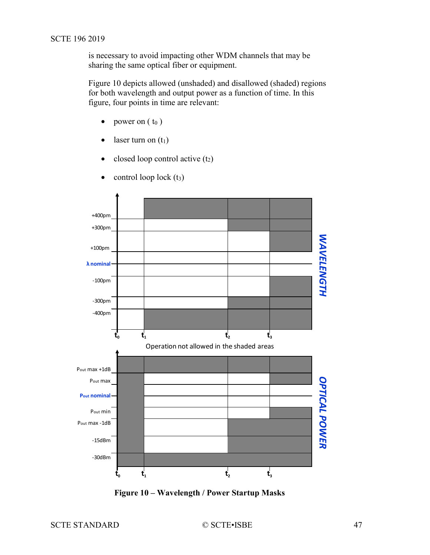is necessary to avoid impacting other WDM channels that may be sharing the same optical fiber or equipment.

[Figure 10](#page-46-0) depicts allowed (unshaded) and disallowed (shaded) regions for both wavelength and output power as a function of time. In this figure, four points in time are relevant:

- power on  $(t_0)$
- laser turn on  $(t_1)$
- closed loop control active  $(t_2)$



control loop lock  $(t_3)$ 

<span id="page-46-0"></span>**Figure 10 – Wavelength / Power Startup Masks**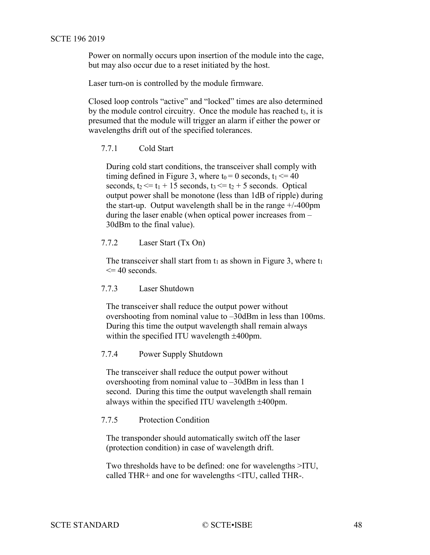Power on normally occurs upon insertion of the module into the cage, but may also occur due to a reset initiated by the host.

Laser turn-on is controlled by the module firmware.

Closed loop controls "active" and "locked" times are also determined by the module control circuitry. Once the module has reached  $t_3$ , it is presumed that the module will trigger an alarm if either the power or wavelengths drift out of the specified tolerances.

<span id="page-47-0"></span>7.7.1 Cold Start

During cold start conditions, the transceiver shall comply with timing defined in Figure 3, where  $t_0 = 0$  seconds,  $t_1 \le 40$ seconds,  $t_2 \leq t_1 + 15$  seconds,  $t_3 \leq t_2 + 5$  seconds. Optical output power shall be monotone (less than 1dB of ripple) during the start-up. Output wavelength shall be in the range +/-400pm during the laser enable (when optical power increases from – 30dBm to the final value).

## <span id="page-47-1"></span>7.7.2 Laser Start (Tx On)

The transceiver shall start from  $t_1$  as shown in Figure 3, where  $t_1$  $\leq$  40 seconds.

## <span id="page-47-2"></span>7.7.3 Laser Shutdown

The transceiver shall reduce the output power without overshooting from nominal value to –30dBm in less than 100ms. During this time the output wavelength shall remain always within the specified ITU wavelength ±400pm.

## <span id="page-47-3"></span>7.7.4 Power Supply Shutdown

The transceiver shall reduce the output power without overshooting from nominal value to –30dBm in less than 1 second. During this time the output wavelength shall remain always within the specified ITU wavelength ±400pm.

#### <span id="page-47-4"></span>7.7.5 Protection Condition

The transponder should automatically switch off the laser (protection condition) in case of wavelength drift.

Two thresholds have to be defined: one for wavelengths >ITU, called THR+ and one for wavelengths <ITU, called THR-.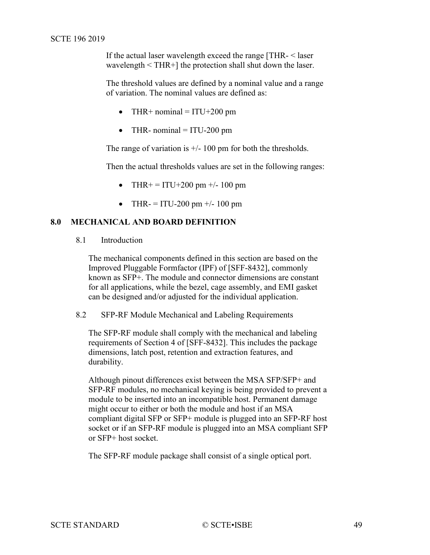<span id="page-48-3"></span>If the actual laser wavelength exceed the range [THR- < laser wavelength < THR+] the protection shall shut down the laser.

The threshold values are defined by a nominal value and a range of variation. The nominal values are defined as:

- THR+ nominal  $= ITU+200$  pm
- THR- nominal  $=$  ITU-200 pm

The range of variation is  $\pm$ /- 100 pm for both the thresholds.

Then the actual thresholds values are set in the following ranges:

- THR+ = ITU+200 pm +/- 100 pm
- THR- = ITU-200 pm  $+/- 100$  pm

## <span id="page-48-1"></span><span id="page-48-0"></span>**8.0 MECHANICAL AND BOARD DEFINITION**

8.1 Introduction

The mechanical components defined in this section are based on the Improved Pluggable Formfactor (IPF) of [\[SFF-8432\],](#page-7-9) commonly known as SFP+. The module and connector dimensions are constant for all applications, while the bezel, cage assembly, and EMI gasket can be designed and/or adjusted for the individual application.

## <span id="page-48-2"></span>8.2 SFP-RF Module Mechanical and Labeling Requirements

The SFP-RF module shall comply with the mechanical and labeling requirements of Section 4 of [\[SFF-8432\].](#page-7-9) This includes the package dimensions, latch post, retention and extraction features, and durability.

Although pinout differences exist between the MSA SFP/SFP+ and SFP-RF modules, no mechanical keying is being provided to prevent a module to be inserted into an incompatible host. Permanent damage might occur to either or both the module and host if an MSA compliant digital SFP or SFP+ module is plugged into an SFP-RF host socket or if an SFP-RF module is plugged into an MSA compliant SFP or SFP+ host socket.

The SFP-RF module package shall consist of a single optical port.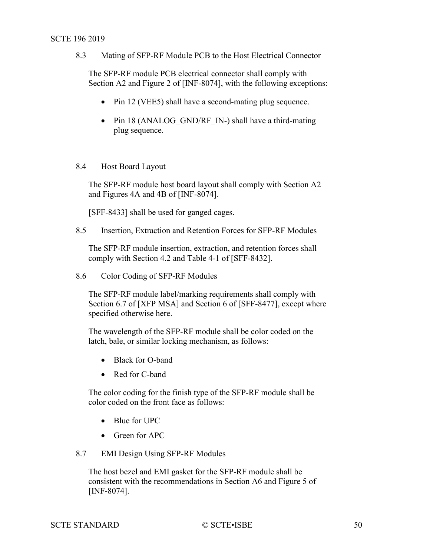<span id="page-49-4"></span>8.3 Mating of SFP-RF Module PCB to the Host Electrical Connector

The SFP-RF module PCB electrical connector shall comply with Section A2 and Figure 2 of [\[INF-8074\],](#page-7-10) with the following exceptions:

- Pin 12 (VEE5) shall have a second-mating plug sequence.
- Pin 18 (ANALOG GND/RF IN-) shall have a third-mating plug sequence.

## <span id="page-49-0"></span>8.4 Host Board Layout

The SFP-RF module host board layout shall comply with Section A2 and Figures 4A and 4B of [\[INF-8074\].](#page-7-10)

[\[SFF-8433\]](#page-7-11) shall be used for ganged cages.

<span id="page-49-1"></span>8.5 Insertion, Extraction and Retention Forces for SFP-RF Modules

The SFP-RF module insertion, extraction, and retention forces shall comply with Section 4.2 and Table 4-1 of [\[SFF-8432\].](#page-7-9)

<span id="page-49-2"></span>8.6 Color Coding of SFP-RF Modules

The SFP-RF module label/marking requirements shall comply with Section 6.7 of [\[XFP MSA\]](#page-7-4) and Section 6 of [\[SFF-8477\],](#page-7-5) except where specified otherwise here.

The wavelength of the SFP-RF module shall be color coded on the latch, bale, or similar locking mechanism, as follows:

- Black for O-band
- Red for C-band

The color coding for the finish type of the SFP-RF module shall be color coded on the front face as follows:

- Blue for UPC
- Green for APC

## <span id="page-49-3"></span>8.7 EMI Design Using SFP-RF Modules

The host bezel and EMI gasket for the SFP-RF module shall be consistent with the recommendations in Section A6 and Figure 5 of [\[INF-8074\].](#page-7-10)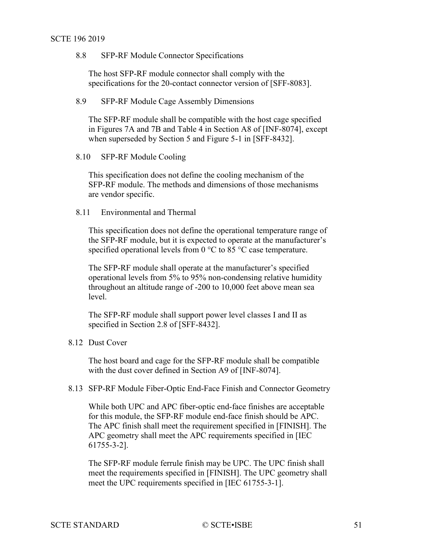<span id="page-50-5"></span>8.8 SFP-RF Module Connector Specifications

The host SFP-RF module connector shall comply with the specifications for the 20-contact connector version of [\[SFF-8083\].](#page-7-12)

## <span id="page-50-0"></span>8.9 SFP-RF Module Cage Assembly Dimensions

The SFP-RF module shall be compatible with the host cage specified in Figures 7A and 7B and Table 4 in Section A8 of [\[INF-8074\],](#page-7-10) except when superseded by Section 5 and Figure 5-1 in [\[SFF-8432\].](#page-7-9)

#### <span id="page-50-1"></span>8.10 SFP-RF Module Cooling

This specification does not define the cooling mechanism of the SFP-RF module. The methods and dimensions of those mechanisms are vendor specific.

# <span id="page-50-2"></span>8.11 Environmental and Thermal

This specification does not define the operational temperature range of the SFP-RF module, but it is expected to operate at the manufacturer's specified operational levels from 0 °C to 85 °C case temperature.

The SFP-RF module shall operate at the manufacturer's specified operational levels from 5% to 95% non-condensing relative humidity throughout an altitude range of -200 to 10,000 feet above mean sea level.

The SFP-RF module shall support power level classes I and II as specified in Section 2.8 of [\[SFF-8432\].](#page-7-9)

## <span id="page-50-3"></span>8.12 Dust Cover

The host board and cage for the SFP-RF module shall be compatible with the dust cover defined in Section A9 of [\[INF-8074\].](#page-7-10)

#### <span id="page-50-4"></span>8.13 SFP-RF Module Fiber-Optic End-Face Finish and Connector Geometry

While both UPC and APC fiber-optic end-face finishes are acceptable for this module, the SFP-RF module end-face finish should be APC. The APC finish shall meet the requirement specified in [\[FINISH\].](#page-7-13) The APC geometry shall meet the APC requirements specified in [\[IEC](#page-7-14)  [61755-3-2\].](#page-7-14)

The SFP-RF module ferrule finish may be UPC. The UPC finish shall meet the requirements specified in [\[FINISH\].](#page-7-13) The UPC geometry shall meet the UPC requirements specified in [\[IEC 61755-3-1\].](#page-6-2)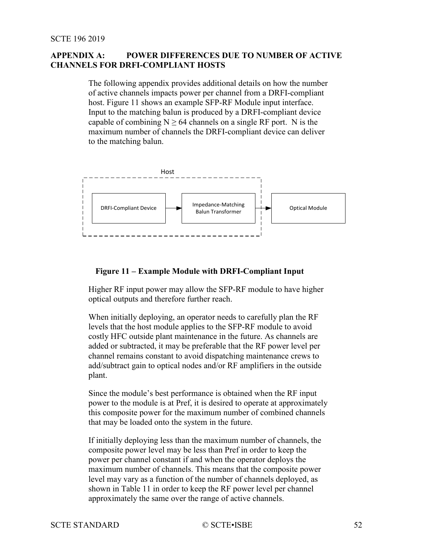## <span id="page-51-1"></span>**APPENDIX A: POWER DIFFERENCES DUE TO NUMBER OF ACTIVE CHANNELS FOR DRFI-COMPLIANT HOSTS**

The following appendix provides additional details on how the number of active channels impacts power per channel from a DRFI-compliant host. [Figure 11](#page-51-0) shows an example SFP-RF Module input interface. Input to the matching balun is produced by a DRFI-compliant device capable of combining  $N \ge 64$  channels on a single RF port. N is the maximum number of channels the DRFI-compliant device can deliver to the matching balun.



## <span id="page-51-0"></span>**Figure 11 – Example Module with DRFI-Compliant Input**

Higher RF input power may allow the SFP-RF module to have higher optical outputs and therefore further reach.

When initially deploying, an operator needs to carefully plan the RF levels that the host module applies to the SFP-RF module to avoid costly HFC outside plant maintenance in the future. As channels are added or subtracted, it may be preferable that the RF power level per channel remains constant to avoid dispatching maintenance crews to add/subtract gain to optical nodes and/or RF amplifiers in the outside plant.

Since the module's best performance is obtained when the RF input power to the module is at Pref, it is desired to operate at approximately this composite power for the maximum number of combined channels that may be loaded onto the system in the future.

If initially deploying less than the maximum number of channels, the composite power level may be less than Pref in order to keep the power per channel constant if and when the operator deploys the maximum number of channels. This means that the composite power level may vary as a function of the number of channels deployed, as shown in [Table 11](#page-51-1) in order to keep the RF power level per channel approximately the same over the range of active channels.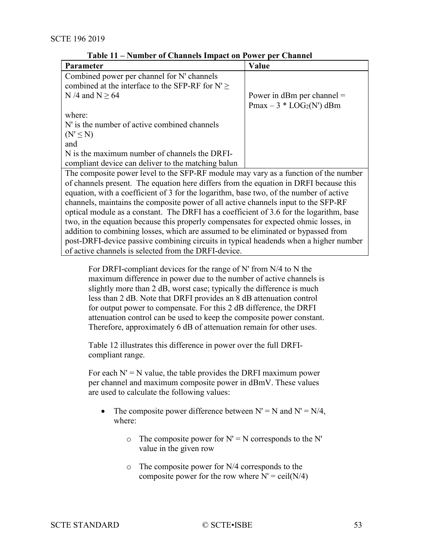| Parameter                                                                               | Value                        |  |  |  |  |
|-----------------------------------------------------------------------------------------|------------------------------|--|--|--|--|
| Combined power per channel for N' channels                                              |                              |  |  |  |  |
| combined at the interface to the SFP-RF for $N' \geq$                                   |                              |  |  |  |  |
| N /4 and N $\geq$ 64                                                                    | Power in dBm per channel $=$ |  |  |  |  |
|                                                                                         | $Pmax - 3 * LOG2(N')$ dBm    |  |  |  |  |
| where:                                                                                  |                              |  |  |  |  |
| N' is the number of active combined channels                                            |                              |  |  |  |  |
| $(N' \leq N)$                                                                           |                              |  |  |  |  |
| and                                                                                     |                              |  |  |  |  |
| N is the maximum number of channels the DRFI-                                           |                              |  |  |  |  |
| compliant device can deliver to the matching balun                                      |                              |  |  |  |  |
| The composite power level to the SFP-RF module may vary as a function of the number     |                              |  |  |  |  |
| of channels present. The equation here differs from the equation in DRFI because this   |                              |  |  |  |  |
| equation, with a coefficient of 3 for the logarithm, base two, of the number of active  |                              |  |  |  |  |
| channels, maintains the composite power of all active channels input to the SFP-RF      |                              |  |  |  |  |
| optical module as a constant. The DRFI has a coefficient of 3.6 for the logarithm, base |                              |  |  |  |  |
| two, in the equation because this properly compensates for expected ohmic losses, in    |                              |  |  |  |  |
| addition to combining losses, which are assumed to be eliminated or bypassed from       |                              |  |  |  |  |
| post-DRFI-device passive combining circuits in typical headends when a higher number    |                              |  |  |  |  |
| of active channels is selected from the DRFI-device.                                    |                              |  |  |  |  |

**Table 11 – Number of Channels Impact on Power per Channel**

For DRFI-compliant devices for the range of N' from N/4 to N the maximum difference in power due to the number of active channels is slightly more than 2 dB, worst case; typically the difference is much less than 2 dB. Note that DRFI provides an 8 dB attenuation control for output power to compensate. For this 2 dB difference, the DRFI attenuation control can be used to keep the composite power constant. Therefore, approximately 6 dB of attenuation remain for other uses.

[Table](#page-53-0) 12 illustrates this difference in power over the full DRFIcompliant range.

For each  $N' = N$  value, the table provides the DRFI maximum power per channel and maximum composite power in dBmV. These values are used to calculate the following values:

- The composite power difference between  $N' = N$  and  $N' = N/4$ , where:
	- $\circ$  The composite power for N' = N corresponds to the N' value in the given row
	- o The composite power for N/4 corresponds to the composite power for the row where  $N' = \text{ceil}(N/4)$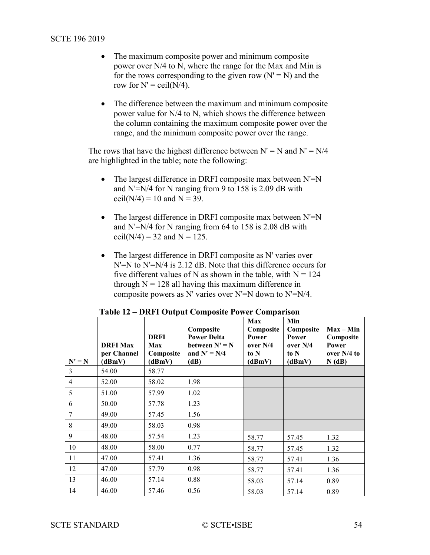- The maximum composite power and minimum composite power over N/4 to N, where the range for the Max and Min is for the rows corresponding to the given row  $(N' = N)$  and the row for  $N' = \text{ceil}(N/4)$ .
- The difference between the maximum and minimum composite power value for N/4 to N, which shows the difference between the column containing the maximum composite power over the range, and the minimum composite power over the range.

The rows that have the highest difference between  $N' = N$  and  $N' = N/4$ are highlighted in the table; note the following:

- The largest difference in DRFI composite max between N'=N and N'=N/4 for N ranging from 9 to 158 is 2.09 dB with ceil( $N/4$ ) = 10 and  $N = 39$ .
- The largest difference in DRFI composite max between  $N'=N$ and N'=N/4 for N ranging from 64 to 158 is 2.08 dB with ceil( $N/4$ ) = 32 and  $N = 125$ .
- The largest difference in DRFI composite as N' varies over N'=N to N'=N/4 is 2.12 dB. Note that this difference occurs for five different values of N as shown in the table, with  $N = 124$ through  $N = 128$  all having this maximum difference in composite powers as N' varies over N'=N down to N'=N/4.

<span id="page-53-0"></span>

|                | <b>DRFI Max</b><br>per Channel | <b>DRFI</b><br>Max<br>Composite | Composite<br><b>Power Delta</b><br>between $N' = N$<br>and $N' = N/4$ | Max<br>Composite<br>Power<br>over $N/4$<br>to N | Min<br>Composite<br>Power<br>over $N/4$<br>to N | $Max - Min$<br>Composite<br>Power<br>over $N/4$ to |
|----------------|--------------------------------|---------------------------------|-----------------------------------------------------------------------|-------------------------------------------------|-------------------------------------------------|----------------------------------------------------|
| $N' = N$       | (dBmV)                         | (dBmV)                          | (dB)                                                                  | (dBmV)                                          | (dBmV)                                          | N(dB)                                              |
| 3              | 54.00                          | 58.77                           |                                                                       |                                                 |                                                 |                                                    |
| $\overline{4}$ | 52.00                          | 58.02                           | 1.98                                                                  |                                                 |                                                 |                                                    |
| 5              | 51.00                          | 57.99                           | 1.02                                                                  |                                                 |                                                 |                                                    |
| 6              | 50.00                          | 57.78                           | 1.23                                                                  |                                                 |                                                 |                                                    |
| 7              | 49.00                          | 57.45                           | 1.56                                                                  |                                                 |                                                 |                                                    |
| 8              | 49.00                          | 58.03                           | 0.98                                                                  |                                                 |                                                 |                                                    |
| 9              | 48.00                          | 57.54                           | 1.23                                                                  | 58.77                                           | 57.45                                           | 1.32                                               |
| 10             | 48.00                          | 58.00                           | 0.77                                                                  | 58.77                                           | 57.45                                           | 1.32                                               |
| 11             | 47.00                          | 57.41                           | 1.36                                                                  | 58.77                                           | 57.41                                           | 1.36                                               |
| 12             | 47.00                          | 57.79                           | 0.98                                                                  | 58.77                                           | 57.41                                           | 1.36                                               |
| 13             | 46.00                          | 57.14                           | 0.88                                                                  | 58.03                                           | 57.14                                           | 0.89                                               |
| 14             | 46.00                          | 57.46                           | 0.56                                                                  | 58.03                                           | 57.14                                           | 0.89                                               |

| Table 12 – DRFI Output Composite Power Comparison |  |  |  |
|---------------------------------------------------|--|--|--|
|---------------------------------------------------|--|--|--|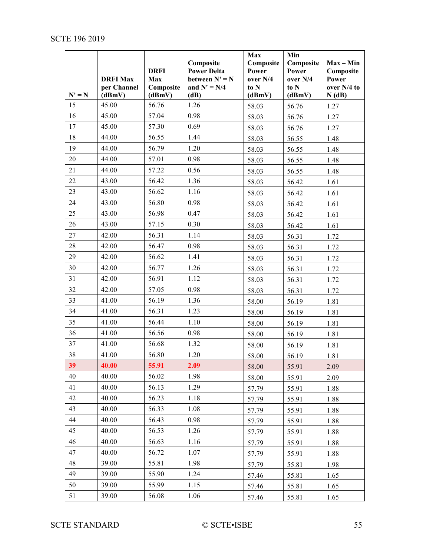|          | <b>DRFI Max</b><br>per Channel | <b>DRFI</b><br>Max<br>Composite | Composite<br><b>Power Delta</b><br>between $N' = N$<br>and $N' = N/4$ | Max<br>Composite<br>Power<br>over N/4<br>to N | Min<br>Composite<br>Power<br>over N/4<br>to N | $Max - Min$<br>Composite<br>Power<br>over N/4 to |
|----------|--------------------------------|---------------------------------|-----------------------------------------------------------------------|-----------------------------------------------|-----------------------------------------------|--------------------------------------------------|
| $N' = N$ | (dBmV)                         | (dBmV)                          | (dB)                                                                  | (dBmV)                                        | (dBmV)                                        | N(dB)                                            |
| 15       | 45.00                          | 56.76                           | 1.26                                                                  | 58.03                                         | 56.76                                         | 1.27                                             |
| 16       | 45.00                          | 57.04                           | 0.98                                                                  | 58.03                                         | 56.76                                         | 1.27                                             |
| 17       | 45.00                          | 57.30                           | 0.69                                                                  | 58.03                                         | 56.76                                         | 1.27                                             |
| 18       | 44.00                          | 56.55                           | 1.44                                                                  | 58.03                                         | 56.55                                         | 1.48                                             |
| 19       | 44.00                          | 56.79                           | 1.20                                                                  | 58.03                                         | 56.55                                         | 1.48                                             |
| 20       | 44.00                          | 57.01                           | 0.98                                                                  | 58.03                                         | 56.55                                         | 1.48                                             |
| 21       | 44.00                          | 57.22                           | 0.56                                                                  | 58.03                                         | 56.55                                         | 1.48                                             |
| 22       | 43.00                          | 56.42                           | 1.36                                                                  | 58.03                                         | 56.42                                         | 1.61                                             |
| 23       | 43.00                          | 56.62                           | 1.16                                                                  | 58.03                                         | 56.42                                         | 1.61                                             |
| 24       | 43.00                          | 56.80                           | 0.98                                                                  | 58.03                                         | 56.42                                         | 1.61                                             |
| 25       | 43.00                          | 56.98                           | 0.47                                                                  | 58.03                                         | 56.42                                         | 1.61                                             |
| 26       | 43.00                          | 57.15                           | 0.30                                                                  | 58.03                                         | 56.42                                         | 1.61                                             |
| 27       | 42.00                          | 56.31                           | 1.14                                                                  | 58.03                                         | 56.31                                         | 1.72                                             |
| 28       | 42.00                          | 56.47                           | 0.98                                                                  | 58.03                                         | 56.31                                         | 1.72                                             |
| 29       | 42.00                          | 56.62                           | 1.41                                                                  | 58.03                                         | 56.31                                         | 1.72                                             |
| 30       | 42.00                          | 56.77                           | 1.26                                                                  | 58.03                                         | 56.31                                         | 1.72                                             |
| 31       | 42.00                          | 56.91                           | 1.12                                                                  | 58.03                                         | 56.31                                         | 1.72                                             |
| 32       | 42.00                          | 57.05                           | 0.98                                                                  | 58.03                                         | 56.31                                         | 1.72                                             |
| 33       | 41.00                          | 56.19                           | 1.36                                                                  | 58.00                                         | 56.19                                         | 1.81                                             |
| 34       | 41.00                          | 56.31                           | 1.23                                                                  | 58.00                                         | 56.19                                         | 1.81                                             |
| 35       | 41.00                          | 56.44                           | 1.10                                                                  | 58.00                                         | 56.19                                         | 1.81                                             |
| 36       | 41.00                          | 56.56                           | 0.98                                                                  | 58.00                                         | 56.19                                         | 1.81                                             |
| 37       | 41.00                          | 56.68                           | 1.32                                                                  | 58.00                                         | 56.19                                         | 1.81                                             |
| 38       | 41.00                          | 56.80                           | 1.20                                                                  | 58.00                                         | 56.19                                         | 1.81                                             |
| 39       | 40.00                          | 55.91                           | 2.09                                                                  | 58.00                                         | 55.91                                         | 2.09                                             |
| 40       | 40.00                          | 56.02                           | 1.98                                                                  | 58.00                                         | 55.91                                         | 2.09                                             |
| 41       | 40.00                          | 56.13                           | 1.29                                                                  | 57.79                                         | 55.91                                         | 1.88                                             |
| 42       | 40.00                          | 56.23                           | 1.18                                                                  | 57.79                                         | 55.91                                         | 1.88                                             |
| 43       | 40.00                          | 56.33                           | 1.08                                                                  | 57.79                                         | 55.91                                         | 1.88                                             |
| 44       | 40.00                          | 56.43                           | 0.98                                                                  | 57.79                                         | 55.91                                         | 1.88                                             |
| 45       | 40.00                          | 56.53                           | 1.26                                                                  | 57.79                                         | 55.91                                         | 1.88                                             |
| 46       | 40.00                          | 56.63                           | 1.16                                                                  | 57.79                                         | 55.91                                         | 1.88                                             |
| 47       | 40.00                          | 56.72                           | 1.07                                                                  | 57.79                                         | 55.91                                         | 1.88                                             |
| 48       | 39.00                          | 55.81                           | 1.98                                                                  | 57.79                                         | 55.81                                         | 1.98                                             |
| 49       | 39.00                          | 55.90                           | 1.24                                                                  | 57.46                                         | 55.81                                         | 1.65                                             |
| 50       | 39.00                          | 55.99                           | 1.15                                                                  | 57.46                                         | 55.81                                         | 1.65                                             |
| 51       | 39.00                          | 56.08                           | 1.06                                                                  | 57.46                                         | 55.81                                         | 1.65                                             |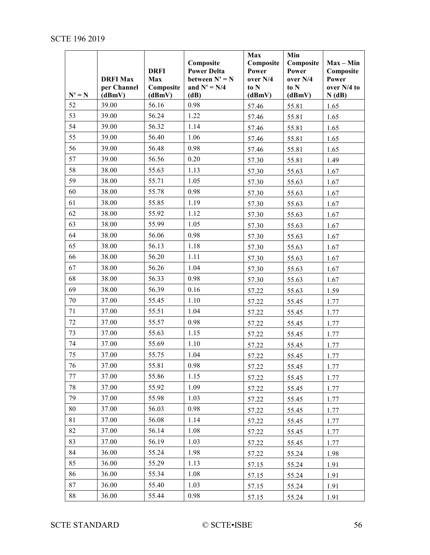|          | <b>DRFI Max</b><br>per Channel | <b>DRFI</b><br>Max<br>Composite | Composite<br><b>Power Delta</b><br>between $N' = N$<br>and $N' = N/4$ | Max<br>Composite<br>Power<br>over N/4<br>to N | Min<br>Composite<br>Power<br>over N/4<br>to N | $Max - Min$<br>Composite<br>Power<br>over N/4 to |
|----------|--------------------------------|---------------------------------|-----------------------------------------------------------------------|-----------------------------------------------|-----------------------------------------------|--------------------------------------------------|
| $N' = N$ | (dBmV)                         | (dBmV)                          | (dB)                                                                  | (dBmV)                                        | (dBmV)                                        | N(dB)                                            |
| 52       | 39.00                          | 56.16                           | 0.98                                                                  | 57.46                                         | 55.81                                         | 1.65                                             |
| 53       | 39.00                          | 56.24                           | 1.22                                                                  | 57.46                                         | 55.81                                         | 1.65                                             |
| 54       | 39.00                          | 56.32                           | 1.14                                                                  | 57.46                                         | 55.81                                         | 1.65                                             |
| 55       | 39.00                          | 56.40                           | 1.06                                                                  | 57.46                                         | 55.81                                         | 1.65                                             |
| 56       | 39.00                          | 56.48                           | 0.98                                                                  | 57.46                                         | 55.81                                         | 1.65                                             |
| 57       | 39.00                          | 56.56                           | 0.20                                                                  | 57.30                                         | 55.81                                         | 1.49                                             |
| 58       | 38.00                          | 55.63                           | 1.13                                                                  | 57.30                                         | 55.63                                         | 1.67                                             |
| 59       | 38.00                          | 55.71                           | 1.05                                                                  | 57.30                                         | 55.63                                         | 1.67                                             |
| 60       | 38.00                          | 55.78                           | 0.98                                                                  | 57.30                                         | 55.63                                         | 1.67                                             |
| 61       | 38.00                          | 55.85                           | 1.19                                                                  | 57.30                                         | 55.63                                         | 1.67                                             |
| 62       | 38.00                          | 55.92                           | 1.12                                                                  | 57.30                                         | 55.63                                         | 1.67                                             |
| 63       | 38.00                          | 55.99                           | 1.05                                                                  | 57.30                                         | 55.63                                         | 1.67                                             |
| 64       | 38.00                          | 56.06                           | 0.98                                                                  | 57.30                                         | 55.63                                         | 1.67                                             |
| 65       | 38.00                          | 56.13                           | 1.18                                                                  | 57.30                                         | 55.63                                         | 1.67                                             |
| 66       | 38.00                          | 56.20                           | 1.11                                                                  | 57.30                                         | 55.63                                         | 1.67                                             |
| 67       | 38.00                          | 56.26                           | 1.04                                                                  | 57.30                                         | 55.63                                         | 1.67                                             |
| 68       | 38.00                          | 56.33                           | 0.98                                                                  | 57.30                                         | 55.63                                         | 1.67                                             |
| 69       | 38.00                          | 56.39                           | 0.16                                                                  | 57.22                                         | 55.63                                         | 1.59                                             |
| 70       | 37.00                          | 55.45                           | 1.10                                                                  | 57.22                                         | 55.45                                         | 1.77                                             |
| 71       | 37.00                          | 55.51                           | 1.04                                                                  | 57.22                                         | 55.45                                         | 1.77                                             |
| 72       | 37.00                          | 55.57                           | 0.98                                                                  | 57.22                                         | 55.45                                         | 1.77                                             |
| 73       | 37.00                          | 55.63                           | 1.15                                                                  | 57.22                                         | 55.45                                         | 1.77                                             |
| 74       | 37.00                          | 55.69                           | 1.10                                                                  | 57.22                                         | 55.45                                         | 1.77                                             |
| 75       | 37.00                          | 55.75                           | 1.04                                                                  | 57.22                                         | 55.45                                         | 1.77                                             |
| 76       | 37.00                          | 55.81                           | 0.98                                                                  | 57.22                                         | 55.45                                         | 1.77                                             |
| 77       | 37.00                          | 55.86                           | 1.15                                                                  | 57.22                                         | 55.45                                         | 1.77                                             |
| 78       | 37.00                          | 55.92                           | 1.09                                                                  | 57.22                                         | 55.45                                         | 1.77                                             |
| 79       | 37.00                          | 55.98                           | 1.03                                                                  | 57.22                                         | 55.45                                         | 1.77                                             |
| 80       | 37.00                          | 56.03                           | 0.98                                                                  | 57.22                                         | 55.45                                         | 1.77                                             |
| 81       | 37.00                          | 56.08                           | 1.14                                                                  | 57.22                                         | 55.45                                         | 1.77                                             |
| 82       | 37.00                          | 56.14                           | 1.08                                                                  | 57.22                                         | 55.45                                         | 1.77                                             |
| 83       | 37.00                          | 56.19                           | 1.03                                                                  | 57.22                                         | 55.45                                         | 1.77                                             |
| 84       | 36.00                          | 55.24                           | 1.98                                                                  | 57.22                                         | 55.24                                         | 1.98                                             |
| 85       | 36.00                          | 55.29                           | 1.13                                                                  | 57.15                                         | 55.24                                         | 1.91                                             |
| 86       | 36.00                          | 55.34                           | 1.08                                                                  | 57.15                                         | 55.24                                         | 1.91                                             |
| 87       | 36.00                          | 55.40                           | 1.03                                                                  | 57.15                                         | 55.24                                         | 1.91                                             |
| 88       | 36.00                          | 55.44                           | 0.98                                                                  | 57.15                                         | 55.24                                         | 1.91                                             |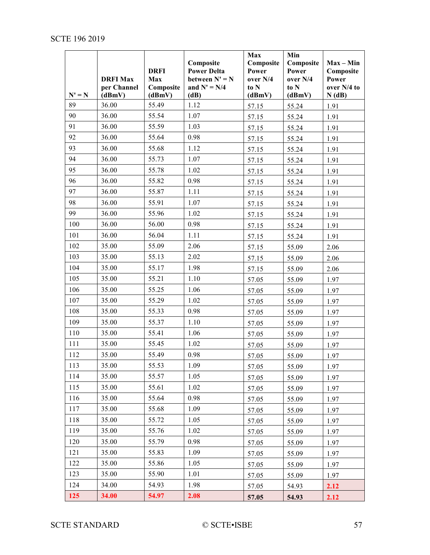|                | <b>DRFI Max</b><br>per Channel | <b>DRFI</b><br>Max<br>Composite | Composite<br><b>Power Delta</b><br>between $N' = N$<br>and $N' = N/4$ | Max<br>Composite<br>Power<br>over N/4<br>to N | Min<br>Composite<br>Power<br>over N/4<br>to N | $Max - Min$<br>Composite<br>Power<br>over N/4 to |
|----------------|--------------------------------|---------------------------------|-----------------------------------------------------------------------|-----------------------------------------------|-----------------------------------------------|--------------------------------------------------|
| $N' = N$<br>89 | (dBmV)<br>36.00                | (dBmV)<br>55.49                 | (dB)<br>1.12                                                          | (dBmV)                                        | (dBmV)                                        | N(dB)                                            |
| 90             | 36.00                          | 55.54                           | 1.07                                                                  | 57.15                                         | 55.24                                         | 1.91                                             |
| 91             | 36.00                          | 55.59                           | 1.03                                                                  | 57.15                                         | 55.24                                         | 1.91                                             |
| 92             | 36.00                          | 55.64                           | 0.98                                                                  | 57.15                                         | 55.24<br>55.24                                | 1.91<br>1.91                                     |
| 93             | 36.00                          | 55.68                           | 1.12                                                                  | 57.15<br>57.15                                | 55.24                                         | 1.91                                             |
| 94             | 36.00                          | 55.73                           | 1.07                                                                  | 57.15                                         | 55.24                                         | 1.91                                             |
| 95             | 36.00                          | 55.78                           | 1.02                                                                  | 57.15                                         | 55.24                                         | 1.91                                             |
| 96             | 36.00                          | 55.82                           | 0.98                                                                  | 57.15                                         | 55.24                                         | 1.91                                             |
| 97             | 36.00                          | 55.87                           | 1.11                                                                  | 57.15                                         | 55.24                                         | 1.91                                             |
| 98             | 36.00                          | 55.91                           | 1.07                                                                  | 57.15                                         | 55.24                                         | 1.91                                             |
| 99             | 36.00                          | 55.96                           | 1.02                                                                  | 57.15                                         | 55.24                                         | 1.91                                             |
| 100            | 36.00                          | 56.00                           | 0.98                                                                  | 57.15                                         | 55.24                                         | 1.91                                             |
| 101            | 36.00                          | 56.04                           | 1.11                                                                  | 57.15                                         | 55.24                                         | 1.91                                             |
| 102            | 35.00                          | 55.09                           | 2.06                                                                  | 57.15                                         | 55.09                                         | 2.06                                             |
| 103            | 35.00                          | 55.13                           | 2.02                                                                  | 57.15                                         | 55.09                                         | 2.06                                             |
| 104            | 35.00                          | 55.17                           | 1.98                                                                  | 57.15                                         | 55.09                                         | 2.06                                             |
| 105            | 35.00                          | 55.21                           | 1.10                                                                  | 57.05                                         | 55.09                                         | 1.97                                             |
| 106            | 35.00                          | 55.25                           | 1.06                                                                  | 57.05                                         | 55.09                                         | 1.97                                             |
| 107            | 35.00                          | 55.29                           | 1.02                                                                  | 57.05                                         | 55.09                                         | 1.97                                             |
| 108            | 35.00                          | 55.33                           | 0.98                                                                  | 57.05                                         | 55.09                                         | 1.97                                             |
| 109            | 35.00                          | 55.37                           | 1.10                                                                  | 57.05                                         | 55.09                                         | 1.97                                             |
| 110            | 35.00                          | 55.41                           | 1.06                                                                  | 57.05                                         | 55.09                                         | 1.97                                             |
| 111            | 35.00                          | 55.45                           | 1.02                                                                  | 57.05                                         | 55.09                                         | 1.97                                             |
| 112            | 35.00                          | 55.49                           | 0.98                                                                  | 57.05                                         | 55.09                                         | 1.97                                             |
| 113            | 35.00                          | 55.53                           | 1.09                                                                  | 57.05                                         | 55.09                                         | 1.97                                             |
| 114            | 35.00                          | 55.57                           | 1.05                                                                  | 57.05                                         | 55.09                                         | 1.97                                             |
| 115            | 35.00                          | 55.61                           | 1.02                                                                  | 57.05                                         | 55.09                                         | 1.97                                             |
| 116            | 35.00                          | 55.64                           | 0.98                                                                  | 57.05                                         | 55.09                                         | 1.97                                             |
| 117            | 35.00                          | 55.68                           | 1.09                                                                  | 57.05                                         | 55.09                                         | 1.97                                             |
| 118            | 35.00                          | 55.72                           | 1.05                                                                  | 57.05                                         | 55.09                                         | 1.97                                             |
| 119            | 35.00                          | 55.76                           | 1.02                                                                  | 57.05                                         | 55.09                                         | 1.97                                             |
| 120            | 35.00                          | 55.79                           | 0.98                                                                  | 57.05                                         | 55.09                                         | 1.97                                             |
| 121            | 35.00                          | 55.83                           | 1.09                                                                  | 57.05                                         | 55.09                                         | 1.97                                             |
| 122            | 35.00                          | 55.86                           | 1.05                                                                  | 57.05                                         | 55.09                                         | 1.97                                             |
| 123            | 35.00                          | 55.90                           | 1.01                                                                  | 57.05                                         | 55.09                                         | 1.97                                             |
| 124            | 34.00                          | 54.93                           | 1.98                                                                  | 57.05                                         | 54.93                                         | 2.12                                             |
| 125            | 34.00                          | 54.97                           | 2.08                                                                  | 57.05                                         | 54.93                                         | 2.12                                             |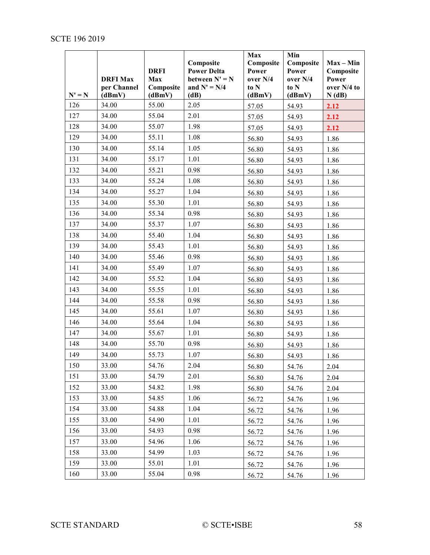<span id="page-57-0"></span>

| $N' = N$ | <b>DRFI Max</b><br>per Channel<br>(dBmV) | <b>DRFI</b><br>Max<br>Composite<br>(dBmV) | Composite<br><b>Power Delta</b><br>between $N' = N$<br>and $N' = N/4$<br>(dB) | Max<br>Composite<br>Power<br>over N/4<br>to N<br>(dBmV) | Min<br>Composite<br>Power<br>over N/4<br>to N<br>(dBmV) | $Max - Min$<br>Composite<br>Power<br>over N/4 to<br>N(dB) |
|----------|------------------------------------------|-------------------------------------------|-------------------------------------------------------------------------------|---------------------------------------------------------|---------------------------------------------------------|-----------------------------------------------------------|
| 126      | 34.00                                    | 55.00                                     | 2.05                                                                          | 57.05                                                   | 54.93                                                   | 2.12                                                      |
| 127      | 34.00                                    | 55.04                                     | 2.01                                                                          | 57.05                                                   | 54.93                                                   | 2.12                                                      |
| 128      | 34.00                                    | 55.07                                     | 1.98                                                                          | 57.05                                                   | 54.93                                                   | 2.12                                                      |
| 129      | 34.00                                    | 55.11                                     | 1.08                                                                          | 56.80                                                   | 54.93                                                   | 1.86                                                      |
| 130      | 34.00                                    | 55.14                                     | 1.05                                                                          | 56.80                                                   | 54.93                                                   | 1.86                                                      |
| 131      | 34.00                                    | 55.17                                     | 1.01                                                                          | 56.80                                                   | 54.93                                                   | 1.86                                                      |
| 132      | 34.00                                    | 55.21                                     | 0.98                                                                          | 56.80                                                   | 54.93                                                   | 1.86                                                      |
| 133      | 34.00                                    | 55.24                                     | 1.08                                                                          | 56.80                                                   | 54.93                                                   | 1.86                                                      |
| 134      | 34.00                                    | 55.27                                     | 1.04                                                                          | 56.80                                                   | 54.93                                                   | 1.86                                                      |
| 135      | 34.00                                    | 55.30                                     | 1.01                                                                          | 56.80                                                   | 54.93                                                   | 1.86                                                      |
| 136      | 34.00                                    | 55.34                                     | 0.98                                                                          | 56.80                                                   | 54.93                                                   | 1.86                                                      |
| 137      | 34.00                                    | 55.37                                     | 1.07                                                                          | 56.80                                                   | 54.93                                                   | 1.86                                                      |
| 138      | 34.00                                    | 55.40                                     | 1.04                                                                          | 56.80                                                   | 54.93                                                   | 1.86                                                      |
| 139      | 34.00                                    | 55.43                                     | 1.01                                                                          | 56.80                                                   | 54.93                                                   | 1.86                                                      |
| 140      | 34.00                                    | 55.46                                     | 0.98                                                                          | 56.80                                                   | 54.93                                                   | 1.86                                                      |
| 141      | 34.00                                    | 55.49                                     | 1.07                                                                          | 56.80                                                   | 54.93                                                   | 1.86                                                      |
| 142      | 34.00                                    | 55.52                                     | 1.04                                                                          | 56.80                                                   | 54.93                                                   | 1.86                                                      |
| 143      | 34.00                                    | 55.55                                     | 1.01                                                                          | 56.80                                                   | 54.93                                                   | 1.86                                                      |
| 144      | 34.00                                    | 55.58                                     | 0.98                                                                          | 56.80                                                   | 54.93                                                   | 1.86                                                      |
| 145      | 34.00                                    | 55.61                                     | 1.07                                                                          | 56.80                                                   | 54.93                                                   | 1.86                                                      |
| 146      | 34.00                                    | 55.64                                     | 1.04                                                                          | 56.80                                                   | 54.93                                                   | 1.86                                                      |
| 147      | 34.00                                    | 55.67                                     | 1.01                                                                          | 56.80                                                   | 54.93                                                   | 1.86                                                      |
| 148      | 34.00                                    | 55.70                                     | 0.98                                                                          | 56.80                                                   | 54.93                                                   | 1.86                                                      |
| 149      | 34.00                                    | 55.73                                     | 1.07                                                                          | 56.80                                                   | 54.93                                                   | 1.86                                                      |
| 150      | 33.00                                    | 54.76                                     | 2.04                                                                          | 56.80                                                   | 54.76                                                   | 2.04                                                      |
| 151      | 33.00                                    | 54.79                                     | 2.01                                                                          | 56.80                                                   | 54.76                                                   | 2.04                                                      |
| 152      | 33.00                                    | 54.82                                     | 1.98                                                                          | 56.80                                                   | 54.76                                                   | 2.04                                                      |
| 153      | 33.00                                    | 54.85                                     | 1.06                                                                          | 56.72                                                   | 54.76                                                   | 1.96                                                      |
| 154      | 33.00                                    | 54.88                                     | 1.04                                                                          | 56.72                                                   | 54.76                                                   | 1.96                                                      |
| 155      | 33.00                                    | 54.90                                     | 1.01                                                                          | 56.72                                                   | 54.76                                                   | 1.96                                                      |
| 156      | 33.00                                    | 54.93                                     | 0.98                                                                          | 56.72                                                   | 54.76                                                   | 1.96                                                      |
| 157      | 33.00                                    | 54.96                                     | 1.06                                                                          | 56.72                                                   | 54.76                                                   | 1.96                                                      |
| 158      | 33.00                                    | 54.99                                     | 1.03                                                                          | 56.72                                                   | 54.76                                                   | 1.96                                                      |
| 159      | 33.00                                    | 55.01                                     | 1.01                                                                          | 56.72                                                   | 54.76                                                   | 1.96                                                      |
| 160      | 33.00                                    | 55.04                                     | 0.98                                                                          | 56.72                                                   | 54.76                                                   | 1.96                                                      |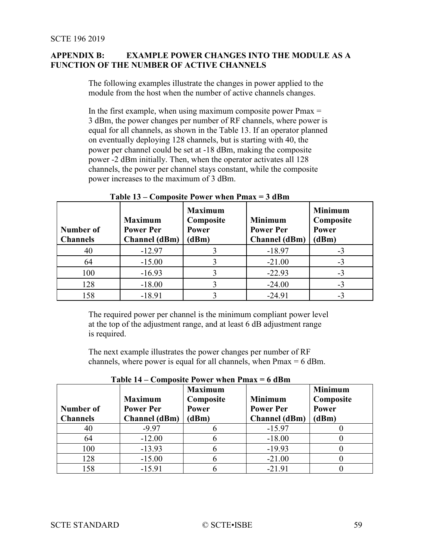# **APPENDIX B: EXAMPLE POWER CHANGES INTO THE MODULE AS A FUNCTION OF THE NUMBER OF ACTIVE CHANNELS**

The following examples illustrate the changes in power applied to the module from the host when the number of active channels changes.

In the first example, when using maximum composite power  $Pmax =$ 3 dBm, the power changes per number of RF channels, where power is equal for all channels, as shown in the [Table 13.](#page-58-0) If an operator planned on eventually deploying 128 channels, but is starting with 40, the power per channel could be set at -18 dBm, making the composite power -2 dBm initially. Then, when the operator activates all 128 channels, the power per channel stays constant, while the composite power increases to the maximum of 3 dBm.

<span id="page-58-0"></span>

| Number of<br><b>Channels</b> | <b>Maximum</b><br><b>Power Per</b><br><b>Channel</b> (dBm) | <b>Maximum</b><br>Composite<br>Power<br>(dBm) | <b>Minimum</b><br><b>Power Per</b><br><b>Channel</b> (dBm) | <b>Minimum</b><br>Composite<br><b>Power</b><br>(dBm) |
|------------------------------|------------------------------------------------------------|-----------------------------------------------|------------------------------------------------------------|------------------------------------------------------|
| 40                           | $-12.97$                                                   |                                               | $-18.97$                                                   | $-3$                                                 |
| 64                           | $-15.00$                                                   |                                               | $-21.00$                                                   | $-3$                                                 |
| 100                          | $-16.93$                                                   |                                               | $-22.93$                                                   | $-3$                                                 |
| 128                          | $-18.00$                                                   |                                               | $-24.00$                                                   | $-3$                                                 |
| 158                          | $-18.91$                                                   |                                               | $-24.91$                                                   | $-3$                                                 |

**Table 13 – Composite Power when Pmax = 3 dBm**

The required power per channel is the minimum compliant power level at the top of the adjustment range, and at least 6 dB adjustment range is required.

The next example illustrates the power changes per number of RF channels, where power is equal for all channels, when  $Pmax = 6$  dBm.

| Number of<br><b>Channels</b> | <b>Maximum</b><br><b>Power Per</b><br><b>Channel</b> (dBm) | <b>Maximum</b><br>Composite<br>Power<br>(dBm) | <b>Minimum</b><br><b>Power Per</b><br><b>Channel</b> (dBm) | <b>Minimum</b><br>Composite<br><b>Power</b><br>(dBm) |
|------------------------------|------------------------------------------------------------|-----------------------------------------------|------------------------------------------------------------|------------------------------------------------------|
| 40                           | $-9.97$                                                    |                                               | $-15.97$                                                   |                                                      |
| 64                           | $-12.00$                                                   |                                               | $-18.00$                                                   |                                                      |
| 100                          | $-13.93$                                                   |                                               | $-19.93$                                                   |                                                      |
| 128                          | $-15.00$                                                   |                                               | $-21.00$                                                   |                                                      |
| 158                          | $-15.91$                                                   |                                               | $-21.91$                                                   |                                                      |

<span id="page-58-1"></span>**Table 14 – Composite Power when Pmax = 6 dBm**